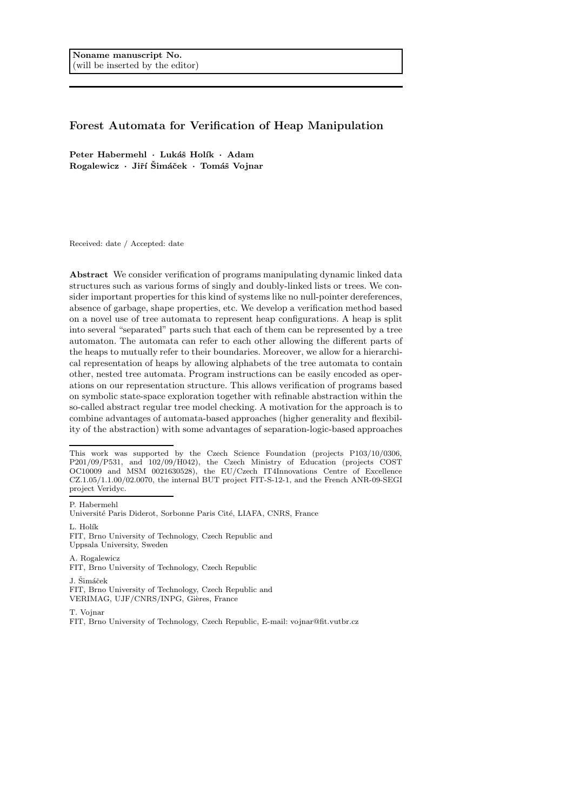# Forest Automata for Verification of Heap Manipulation

Peter Habermehl · Lukáš Holík · Adam Rogalewicz · Jiří Šimáček · Tomáš Vojnar

Received: date / Accepted: date

Abstract We consider verification of programs manipulating dynamic linked data structures such as various forms of singly and doubly-linked lists or trees. We consider important properties for this kind of systems like no null-pointer dereferences, absence of garbage, shape properties, etc. We develop a verification method based on a novel use of tree automata to represent heap configurations. A heap is split into several "separated" parts such that each of them can be represented by a tree automaton. The automata can refer to each other allowing the different parts of the heaps to mutually refer to their boundaries. Moreover, we allow for a hierarchical representation of heaps by allowing alphabets of the tree automata to contain other, nested tree automata. Program instructions can be easily encoded as operations on our representation structure. This allows verification of programs based on symbolic state-space exploration together with refinable abstraction within the so-called abstract regular tree model checking. A motivation for the approach is to combine advantages of automata-based approaches (higher generality and flexibility of the abstraction) with some advantages of separation-logic-based approaches

P. Habermehl

J. Šimáček FIT, Brno University of Technology, Czech Republic and VERIMAG, UJF/CNRS/INPG, Gières, France

T. Vojnar FIT, Brno University of Technology, Czech Republic, E-mail: vojnar@fit.vutbr.cz

This work was supported by the Czech Science Foundation (projects P103/10/0306, P201/09/P531, and 102/09/H042), the Czech Ministry of Education (projects COST OC10009 and MSM 0021630528), the EU/Czech IT4Innovations Centre of Excellence CZ.1.05/1.1.00/02.0070, the internal BUT project FIT-S-12-1, and the French ANR-09-SEGI project Veridyc.

Université Paris Diderot, Sorbonne Paris Cité, LIAFA, CNRS, France L. Holík FIT, Brno University of Technology, Czech Republic and

Uppsala University, Sweden A. Rogalewicz FIT, Brno University of Technology, Czech Republic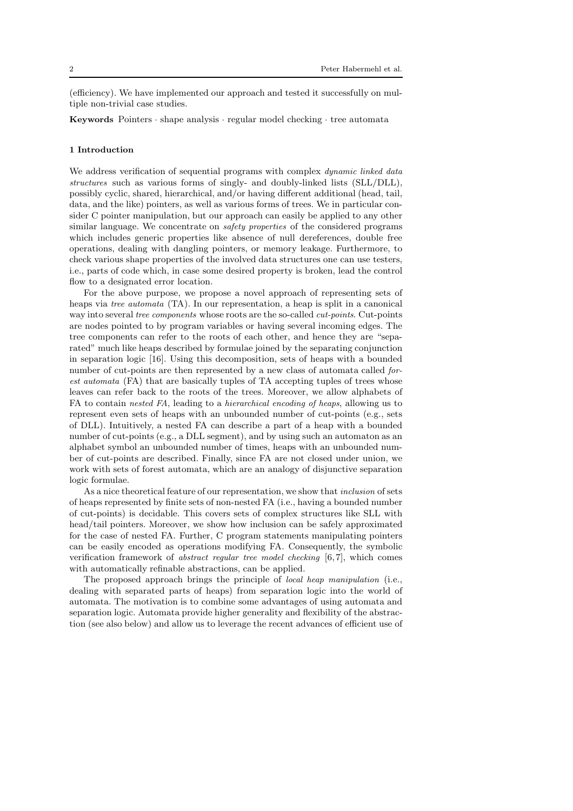(efficiency). We have implemented our approach and tested it successfully on multiple non-trivial case studies.

Keywords Pointers · shape analysis · regular model checking · tree automata

#### 1 Introduction

We address verification of sequential programs with complex dynamic linked data structures such as various forms of singly- and doubly-linked lists (SLL/DLL), possibly cyclic, shared, hierarchical, and/or having different additional (head, tail, data, and the like) pointers, as well as various forms of trees. We in particular consider C pointer manipulation, but our approach can easily be applied to any other similar language. We concentrate on *safety properties* of the considered programs which includes generic properties like absence of null dereferences, double free operations, dealing with dangling pointers, or memory leakage. Furthermore, to check various shape properties of the involved data structures one can use testers, i.e., parts of code which, in case some desired property is broken, lead the control flow to a designated error location.

For the above purpose, we propose a novel approach of representing sets of heaps via tree automata (TA). In our representation, a heap is split in a canonical way into several tree components whose roots are the so-called *cut-points*. Cut-points are nodes pointed to by program variables or having several incoming edges. The tree components can refer to the roots of each other, and hence they are "separated" much like heaps described by formulae joined by the separating conjunction in separation logic [16]. Using this decomposition, sets of heaps with a bounded number of cut-points are then represented by a new class of automata called forest automata (FA) that are basically tuples of TA accepting tuples of trees whose leaves can refer back to the roots of the trees. Moreover, we allow alphabets of FA to contain nested FA, leading to a hierarchical encoding of heaps, allowing us to represent even sets of heaps with an unbounded number of cut-points (e.g., sets of DLL). Intuitively, a nested FA can describe a part of a heap with a bounded number of cut-points (e.g., a DLL segment), and by using such an automaton as an alphabet symbol an unbounded number of times, heaps with an unbounded number of cut-points are described. Finally, since FA are not closed under union, we work with sets of forest automata, which are an analogy of disjunctive separation logic formulae.

As a nice theoretical feature of our representation, we show that inclusion of sets of heaps represented by finite sets of non-nested FA (i.e., having a bounded number of cut-points) is decidable. This covers sets of complex structures like SLL with head/tail pointers. Moreover, we show how inclusion can be safely approximated for the case of nested FA. Further, C program statements manipulating pointers can be easily encoded as operations modifying FA. Consequently, the symbolic verification framework of *abstract regular tree model checking*  $[6, 7]$ , which comes with automatically refinable abstractions, can be applied.

The proposed approach brings the principle of local heap manipulation (i.e., dealing with separated parts of heaps) from separation logic into the world of automata. The motivation is to combine some advantages of using automata and separation logic. Automata provide higher generality and flexibility of the abstraction (see also below) and allow us to leverage the recent advances of efficient use of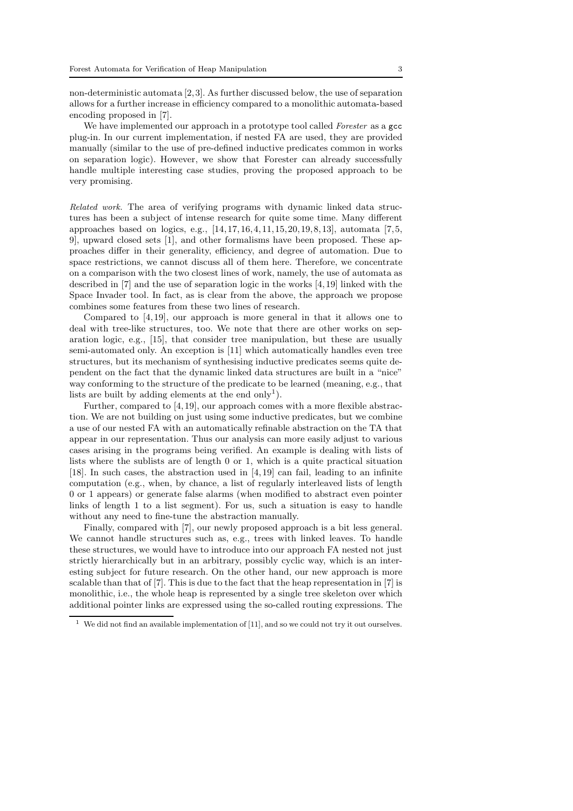non-deterministic automata [2, 3]. As further discussed below, the use of separation allows for a further increase in efficiency compared to a monolithic automata-based encoding proposed in [7].

We have implemented our approach in a prototype tool called Forester as a gcc plug-in. In our current implementation, if nested FA are used, they are provided manually (similar to the use of pre-defined inductive predicates common in works on separation logic). However, we show that Forester can already successfully handle multiple interesting case studies, proving the proposed approach to be very promising.

Related work. The area of verifying programs with dynamic linked data structures has been a subject of intense research for quite some time. Many different approaches based on logics, e.g.,  $[14, 17, 16, 4, 11, 15, 20, 19, 8, 13]$ , automata [7,5, 9], upward closed sets [1], and other formalisms have been proposed. These approaches differ in their generality, efficiency, and degree of automation. Due to space restrictions, we cannot discuss all of them here. Therefore, we concentrate on a comparison with the two closest lines of work, namely, the use of automata as described in [7] and the use of separation logic in the works [4, 19] linked with the Space Invader tool. In fact, as is clear from the above, the approach we propose combines some features from these two lines of research.

Compared to [4, 19], our approach is more general in that it allows one to deal with tree-like structures, too. We note that there are other works on separation logic, e.g., [15], that consider tree manipulation, but these are usually semi-automated only. An exception is [11] which automatically handles even tree structures, but its mechanism of synthesising inductive predicates seems quite dependent on the fact that the dynamic linked data structures are built in a "nice" way conforming to the structure of the predicate to be learned (meaning, e.g., that lists are built by adding elements at the end only<sup>1</sup>).

Further, compared to [4, 19], our approach comes with a more flexible abstraction. We are not building on just using some inductive predicates, but we combine a use of our nested FA with an automatically refinable abstraction on the TA that appear in our representation. Thus our analysis can more easily adjust to various cases arising in the programs being verified. An example is dealing with lists of lists where the sublists are of length 0 or 1, which is a quite practical situation [18]. In such cases, the abstraction used in [4, 19] can fail, leading to an infinite computation (e.g., when, by chance, a list of regularly interleaved lists of length 0 or 1 appears) or generate false alarms (when modified to abstract even pointer links of length 1 to a list segment). For us, such a situation is easy to handle without any need to fine-tune the abstraction manually.

Finally, compared with [7], our newly proposed approach is a bit less general. We cannot handle structures such as, e.g., trees with linked leaves. To handle these structures, we would have to introduce into our approach FA nested not just strictly hierarchically but in an arbitrary, possibly cyclic way, which is an interesting subject for future research. On the other hand, our new approach is more scalable than that of [7]. This is due to the fact that the heap representation in [7] is monolithic, i.e., the whole heap is represented by a single tree skeleton over which additional pointer links are expressed using the so-called routing expressions. The

<sup>&</sup>lt;sup>1</sup> We did not find an available implementation of [11], and so we could not try it out ourselves.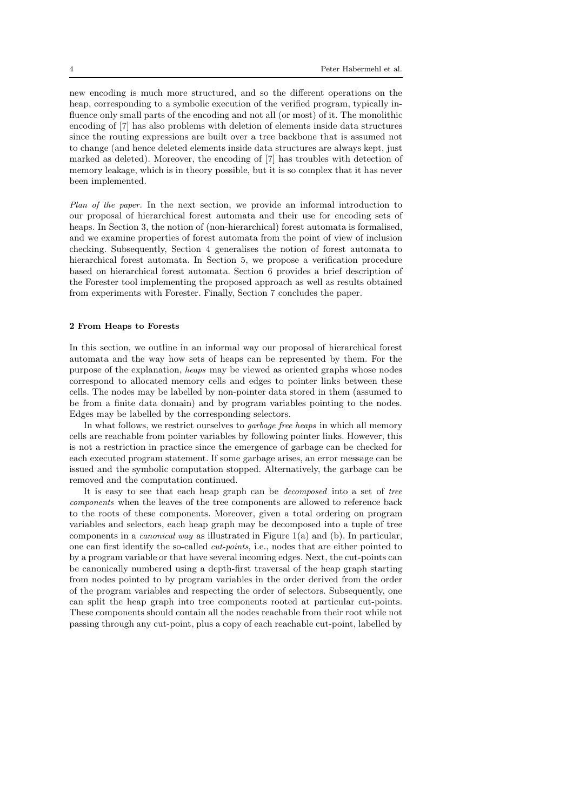new encoding is much more structured, and so the different operations on the heap, corresponding to a symbolic execution of the verified program, typically influence only small parts of the encoding and not all (or most) of it. The monolithic encoding of [7] has also problems with deletion of elements inside data structures since the routing expressions are built over a tree backbone that is assumed not to change (and hence deleted elements inside data structures are always kept, just marked as deleted). Moreover, the encoding of [7] has troubles with detection of memory leakage, which is in theory possible, but it is so complex that it has never been implemented.

Plan of the paper. In the next section, we provide an informal introduction to our proposal of hierarchical forest automata and their use for encoding sets of heaps. In Section 3, the notion of (non-hierarchical) forest automata is formalised, and we examine properties of forest automata from the point of view of inclusion checking. Subsequently, Section 4 generalises the notion of forest automata to hierarchical forest automata. In Section 5, we propose a verification procedure based on hierarchical forest automata. Section 6 provides a brief description of the Forester tool implementing the proposed approach as well as results obtained from experiments with Forester. Finally, Section 7 concludes the paper.

#### 2 From Heaps to Forests

In this section, we outline in an informal way our proposal of hierarchical forest automata and the way how sets of heaps can be represented by them. For the purpose of the explanation, heaps may be viewed as oriented graphs whose nodes correspond to allocated memory cells and edges to pointer links between these cells. The nodes may be labelled by non-pointer data stored in them (assumed to be from a finite data domain) and by program variables pointing to the nodes. Edges may be labelled by the corresponding selectors.

In what follows, we restrict ourselves to garbage free heaps in which all memory cells are reachable from pointer variables by following pointer links. However, this is not a restriction in practice since the emergence of garbage can be checked for each executed program statement. If some garbage arises, an error message can be issued and the symbolic computation stopped. Alternatively, the garbage can be removed and the computation continued.

It is easy to see that each heap graph can be decomposed into a set of tree components when the leaves of the tree components are allowed to reference back to the roots of these components. Moreover, given a total ordering on program variables and selectors, each heap graph may be decomposed into a tuple of tree components in a *canonical way* as illustrated in Figure 1(a) and (b). In particular, one can first identify the so-called cut-points, i.e., nodes that are either pointed to by a program variable or that have several incoming edges. Next, the cut-points can be canonically numbered using a depth-first traversal of the heap graph starting from nodes pointed to by program variables in the order derived from the order of the program variables and respecting the order of selectors. Subsequently, one can split the heap graph into tree components rooted at particular cut-points. These components should contain all the nodes reachable from their root while not passing through any cut-point, plus a copy of each reachable cut-point, labelled by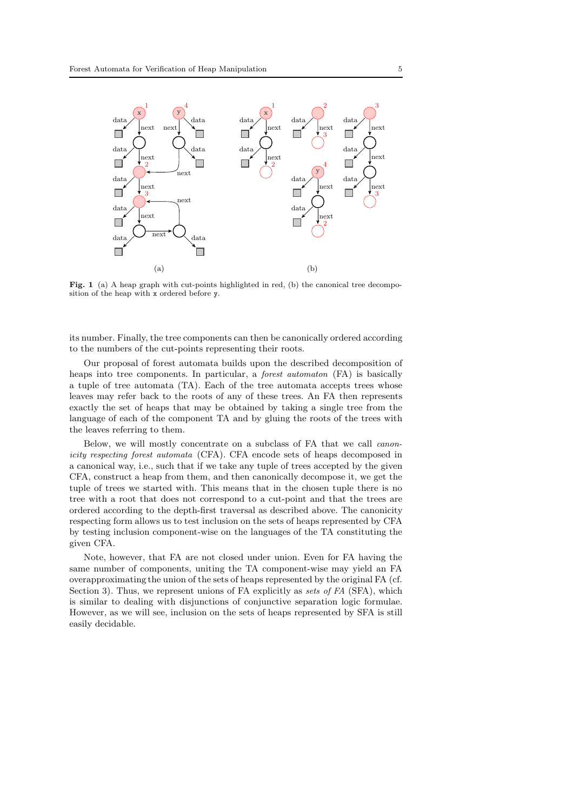

Fig. 1 (a) A heap graph with cut-points highlighted in red, (b) the canonical tree decomposition of the heap with x ordered before y.

its number. Finally, the tree components can then be canonically ordered according to the numbers of the cut-points representing their roots.

Our proposal of forest automata builds upon the described decomposition of heaps into tree components. In particular, a forest automaton (FA) is basically a tuple of tree automata (TA). Each of the tree automata accepts trees whose leaves may refer back to the roots of any of these trees. An FA then represents exactly the set of heaps that may be obtained by taking a single tree from the language of each of the component TA and by gluing the roots of the trees with the leaves referring to them.

Below, we will mostly concentrate on a subclass of FA that we call canonicity respecting forest automata (CFA). CFA encode sets of heaps decomposed in a canonical way, i.e., such that if we take any tuple of trees accepted by the given CFA, construct a heap from them, and then canonically decompose it, we get the tuple of trees we started with. This means that in the chosen tuple there is no tree with a root that does not correspond to a cut-point and that the trees are ordered according to the depth-first traversal as described above. The canonicity respecting form allows us to test inclusion on the sets of heaps represented by CFA by testing inclusion component-wise on the languages of the TA constituting the given CFA.

Note, however, that FA are not closed under union. Even for FA having the same number of components, uniting the TA component-wise may yield an FA overapproximating the union of the sets of heaps represented by the original FA (cf. Section 3). Thus, we represent unions of FA explicitly as sets of FA (SFA), which is similar to dealing with disjunctions of conjunctive separation logic formulae. However, as we will see, inclusion on the sets of heaps represented by SFA is still easily decidable.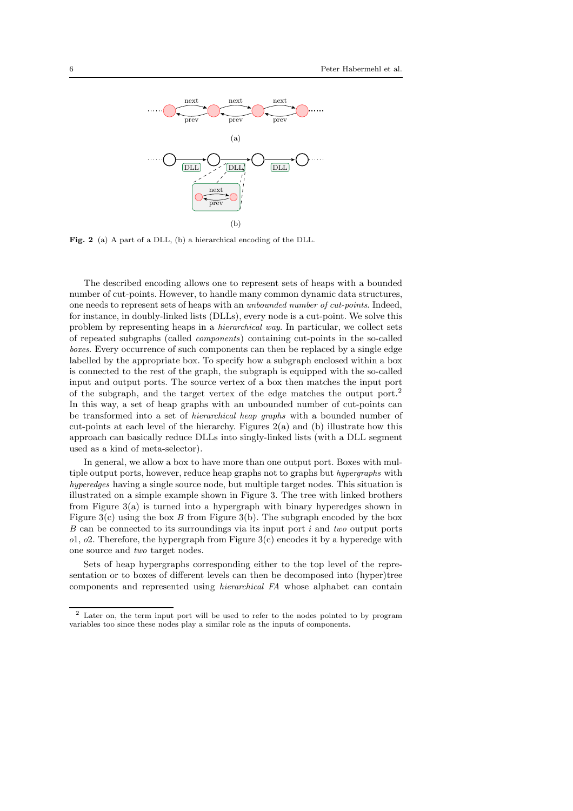

Fig. 2 (a) A part of a DLL, (b) a hierarchical encoding of the DLL.

The described encoding allows one to represent sets of heaps with a bounded number of cut-points. However, to handle many common dynamic data structures, one needs to represent sets of heaps with an unbounded number of cut-points. Indeed, for instance, in doubly-linked lists (DLLs), every node is a cut-point. We solve this problem by representing heaps in a hierarchical way. In particular, we collect sets of repeated subgraphs (called components) containing cut-points in the so-called boxes. Every occurrence of such components can then be replaced by a single edge labelled by the appropriate box. To specify how a subgraph enclosed within a box is connected to the rest of the graph, the subgraph is equipped with the so-called input and output ports. The source vertex of a box then matches the input port of the subgraph, and the target vertex of the edge matches the output port.<sup>2</sup> In this way, a set of heap graphs with an unbounded number of cut-points can be transformed into a set of hierarchical heap graphs with a bounded number of cut-points at each level of the hierarchy. Figures  $2(a)$  and (b) illustrate how this approach can basically reduce DLLs into singly-linked lists (with a DLL segment used as a kind of meta-selector).

In general, we allow a box to have more than one output port. Boxes with multiple output ports, however, reduce heap graphs not to graphs but hypergraphs with hyperedges having a single source node, but multiple target nodes. This situation is illustrated on a simple example shown in Figure 3. The tree with linked brothers from Figure 3(a) is turned into a hypergraph with binary hyperedges shown in Figure  $3(c)$  using the box B from Figure  $3(b)$ . The subgraph encoded by the box  $B$  can be connected to its surroundings via its input port  $i$  and two output ports o1, o2. Therefore, the hypergraph from Figure 3(c) encodes it by a hyperedge with one source and two target nodes.

Sets of heap hypergraphs corresponding either to the top level of the representation or to boxes of different levels can then be decomposed into (hyper)tree components and represented using hierarchical FA whose alphabet can contain

<sup>2</sup> Later on, the term input port will be used to refer to the nodes pointed to by program variables too since these nodes play a similar role as the inputs of components.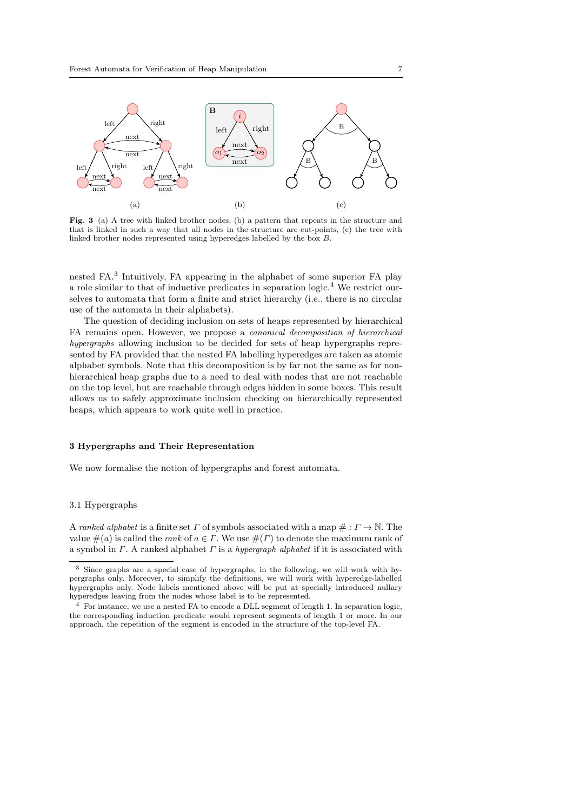

Fig. 3 (a) A tree with linked brother nodes, (b) a pattern that repeats in the structure and that is linked in such a way that all nodes in the structure are cut-points, (c) the tree with linked brother nodes represented using hyperedges labelled by the box B.

nested FA.<sup>3</sup> Intuitively, FA appearing in the alphabet of some superior FA play a role similar to that of inductive predicates in separation logic.<sup>4</sup> We restrict ourselves to automata that form a finite and strict hierarchy (i.e., there is no circular use of the automata in their alphabets).

The question of deciding inclusion on sets of heaps represented by hierarchical FA remains open. However, we propose a canonical decomposition of hierarchical hypergraphs allowing inclusion to be decided for sets of heap hypergraphs represented by FA provided that the nested FA labelling hyperedges are taken as atomic alphabet symbols. Note that this decomposition is by far not the same as for nonhierarchical heap graphs due to a need to deal with nodes that are not reachable on the top level, but are reachable through edges hidden in some boxes. This result allows us to safely approximate inclusion checking on hierarchically represented heaps, which appears to work quite well in practice.

## 3 Hypergraphs and Their Representation

We now formalise the notion of hypergraphs and forest automata.

# 3.1 Hypergraphs

A ranked alphabet is a finite set  $\Gamma$  of symbols associated with a map  $\# : \Gamma \to \mathbb{N}$ . The value  $\#(a)$  is called the *rank* of  $a \in \Gamma$ . We use  $\#(\Gamma)$  to denote the maximum rank of a symbol in  $\Gamma$ . A ranked alphabet  $\Gamma$  is a *hypergraph alphabet* if it is associated with

<sup>3</sup> Since graphs are a special case of hypergraphs, in the following, we will work with hypergraphs only. Moreover, to simplify the definitions, we will work with hyperedge-labelled hypergraphs only. Node labels mentioned above will be put at specially introduced nullary hyperedges leaving from the nodes whose label is to be represented.

<sup>&</sup>lt;sup>4</sup> For instance, we use a nested FA to encode a DLL segment of length 1. In separation logic, the corresponding induction predicate would represent segments of length 1 or more. In our approach, the repetition of the segment is encoded in the structure of the top-level FA.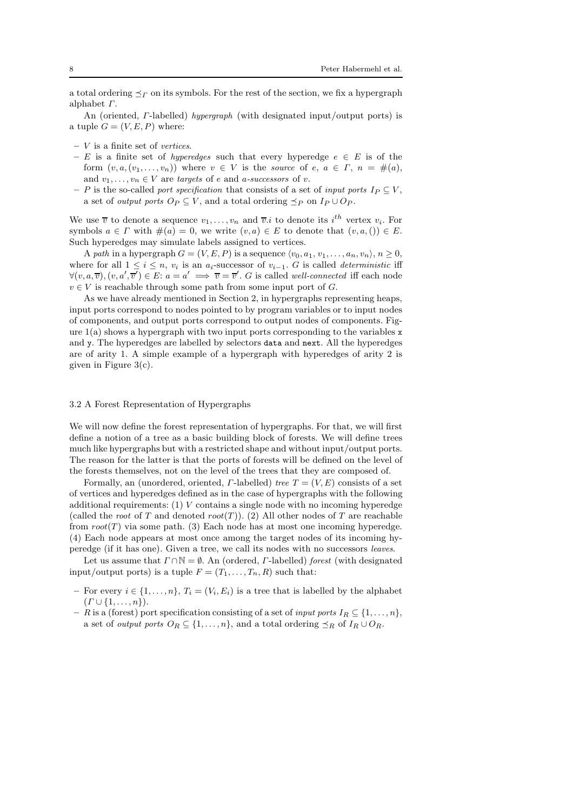a total ordering  $\preceq_r$  on its symbols. For the rest of the section, we fix a hypergraph alphabet Γ.

An (oriented, Γ-labelled) hypergraph (with designated input/output ports) is a tuple  $G = (V, E, P)$  where:

- $-$  V is a finite set of vertices.
- E is a finite set of hyperedges such that every hyperedge  $e \in E$  is of the form  $(v, a, (v_1, \ldots, v_n))$  where  $v \in V$  is the source of e,  $a \in \Gamma$ ,  $n = \#(a)$ , and  $v_1, \ldots, v_n \in V$  are targets of e and a-successors of v.
- P is the so-called port specification that consists of a set of input ports  $I_P \subseteq V$ , a set of *output ports*  $O_P \subseteq V$ , and a total ordering  $\preceq_P$  on  $I_P \cup O_P$ .

We use  $\overline{v}$  to denote a sequence  $v_1, \ldots, v_n$  and  $\overline{v}.i$  to denote its  $i^{th}$  vertex  $v_i$ . For symbols  $a \in \Gamma$  with  $\#(a) = 0$ , we write  $(v, a) \in E$  to denote that  $(v, a, () \in E$ . Such hyperedges may simulate labels assigned to vertices.

A path in a hypergraph  $G = (V, E, P)$  is a sequence  $\langle v_0, a_1, v_1, \ldots, a_n, v_n \rangle, n \ge 0$ , where for all  $1 \leq i \leq n$ ,  $v_i$  is an  $a_i$ -successor of  $v_{i-1}$ . G is called *deterministic* iff  $\forall (v, a, \overline{v}), (v, a', \overline{v}') \in E: a = a' \implies \overline{v} = \overline{v}'$ . G is called well-connected iff each node  $v \in V$  is reachable through some path from some input port of G.

As we have already mentioned in Section 2, in hypergraphs representing heaps, input ports correspond to nodes pointed to by program variables or to input nodes of components, and output ports correspond to output nodes of components. Figure  $1(a)$  shows a hypergraph with two input ports corresponding to the variables x and y. The hyperedges are labelled by selectors data and next. All the hyperedges are of arity 1. A simple example of a hypergraph with hyperedges of arity 2 is given in Figure 3(c).

### 3.2 A Forest Representation of Hypergraphs

We will now define the forest representation of hypergraphs. For that, we will first define a notion of a tree as a basic building block of forests. We will define trees much like hypergraphs but with a restricted shape and without input/output ports. The reason for the latter is that the ports of forests will be defined on the level of the forests themselves, not on the level of the trees that they are composed of.

Formally, an (unordered, oriented,  $\Gamma$ -labelled) tree  $T = (V, E)$  consists of a set of vertices and hyperedges defined as in the case of hypergraphs with the following additional requirements:  $(1)$  V contains a single node with no incoming hyperedge (called the root of T and denoted  $root(T)$ ). (2) All other nodes of T are reachable from  $root(T)$  via some path. (3) Each node has at most one incoming hyperedge. (4) Each node appears at most once among the target nodes of its incoming hyperedge (if it has one). Given a tree, we call its nodes with no successors leaves.

Let us assume that  $\Gamma \cap \mathbb{N} = \emptyset$ . An (ordered,  $\Gamma$ -labelled) forest (with designated input/output ports) is a tuple  $F = (T_1, \ldots, T_n, R)$  such that:

- − For every  $i \in \{1, ..., n\}$ ,  $T_i = (V_i, E_i)$  is a tree that is labelled by the alphabet  $(\Gamma \cup \{1, \ldots, n\}).$
- R is a (forest) port specification consisting of a set of *input ports*  $I_R \subseteq \{1, \ldots, n\}$ , a set of *output ports*  $O_R \subseteq \{1, \ldots, n\}$ , and a total ordering  $\preceq_R$  of  $I_R \cup O_R$ .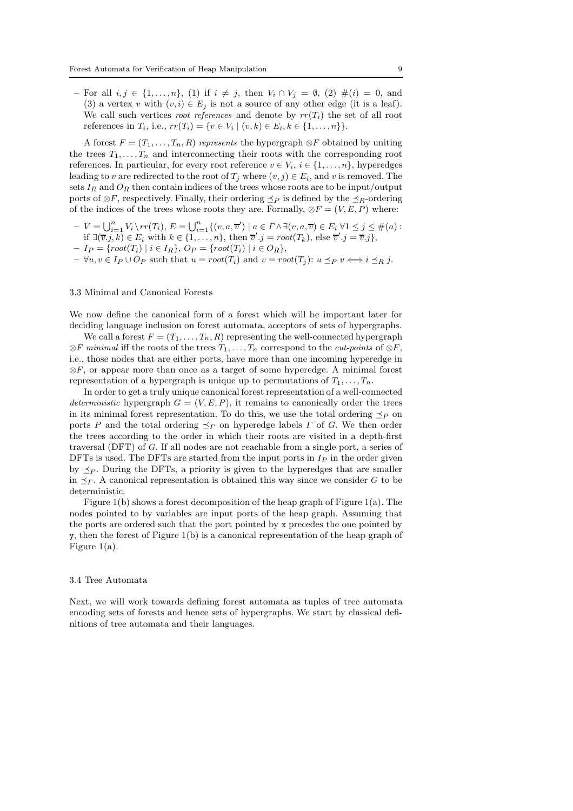– For all *i*, *j* ∈ {1,...,*n*}, (1) if *i* ≠ *j*, then  $V_i \cap V_j = ∅$ , (2)  $#(i) = 0$ , and (3) a vertex v with  $(v, i) \in E_i$  is not a source of any other edge (it is a leaf). We call such vertices *root references* and denote by  $rr(T_i)$  the set of all root references in  $T_i$ , i.e.,  $rr(T_i) = \{v \in V_i \mid (v, k) \in E_i, k \in \{1, ..., n\}\}.$ 

A forest  $F = (T_1, \ldots, T_n, R)$  represents the hypergraph ⊗F obtained by uniting the trees  $T_1, \ldots, T_n$  and interconnecting their roots with the corresponding root references. In particular, for every root reference  $v \in V_i$ ,  $i \in \{1, ..., n\}$ , hyperedges leading to v are redirected to the root of  $T_j$  where  $(v, j) \in E_i$ , and v is removed. The sets  $I_R$  and  $O_R$  then contain indices of the trees whose roots are to be input/output ports of  $\otimes F$ , respectively. Finally, their ordering  $\preceq_P$  is defined by the  $\preceq_R$ -ordering of the indices of the trees whose roots they are. Formally,  $\otimes F = (V, E, P)$  where:

- $V = \bigcup_{i=1}^n V_i \setminus rr(T_i), E = \bigcup_{i=1}^n \{(v, a, \overline{v}') \mid a \in \Gamma \wedge \exists (v, a, \overline{v}) \in E_i \; \forall 1 \leq j \leq \#(a)$ if  $\exists (\overline{v}.j,k) \in E_i$  with  $k \in \{1, \ldots, n\}$ , then  $\overline{v}'.j = root(T_k)$ , else  $\overline{v}'.j = \overline{v}.j$ ,
- I<sub>P</sub> = {root(T<sub>i</sub>) | i ∈ I<sub>R</sub>}, O<sub>P</sub> = {root(T<sub>i</sub>) | i ∈ O<sub>R</sub>},
- $\forall u, v \in I_P \cup O_P$  such that  $u = root(T_i)$  and  $v = root(T_i)$ :  $u \preceq_P v \iff i \preceq_R j$ .

### 3.3 Minimal and Canonical Forests

We now define the canonical form of a forest which will be important later for deciding language inclusion on forest automata, acceptors of sets of hypergraphs.

We call a forest  $F = (T_1, \ldots, T_n, R)$  representing the well-connected hypergraph  $\otimes F$  minimal iff the roots of the trees  $T_1, \ldots, T_n$  correspond to the *cut-points* of  $\otimes F$ , i.e., those nodes that are either ports, have more than one incoming hyperedge in  $\otimes F$ , or appear more than once as a target of some hyperedge. A minimal forest representation of a hypergraph is unique up to permutations of  $T_1, \ldots, T_n$ .

In order to get a truly unique canonical forest representation of a well-connected deterministic hypergraph  $G = (V, E, P)$ , it remains to canonically order the trees in its minimal forest representation. To do this, we use the total ordering  $\prec_P$  on ports P and the total ordering  $\preceq_{\Gamma}$  on hyperedge labels  $\Gamma$  of G. We then order the trees according to the order in which their roots are visited in a depth-first traversal (DFT) of G. If all nodes are not reachable from a single port, a series of DFTs is used. The DFTs are started from the input ports in  $I_P$  in the order given by  $\leq_P$ . During the DFTs, a priority is given to the hyperedges that are smaller in  $\preceq_{\Gamma}$ . A canonical representation is obtained this way since we consider G to be deterministic.

Figure 1(b) shows a forest decomposition of the heap graph of Figure 1(a). The nodes pointed to by variables are input ports of the heap graph. Assuming that the ports are ordered such that the port pointed by x precedes the one pointed by y, then the forest of Figure 1(b) is a canonical representation of the heap graph of Figure 1(a).

#### 3.4 Tree Automata

Next, we will work towards defining forest automata as tuples of tree automata encoding sets of forests and hence sets of hypergraphs. We start by classical definitions of tree automata and their languages.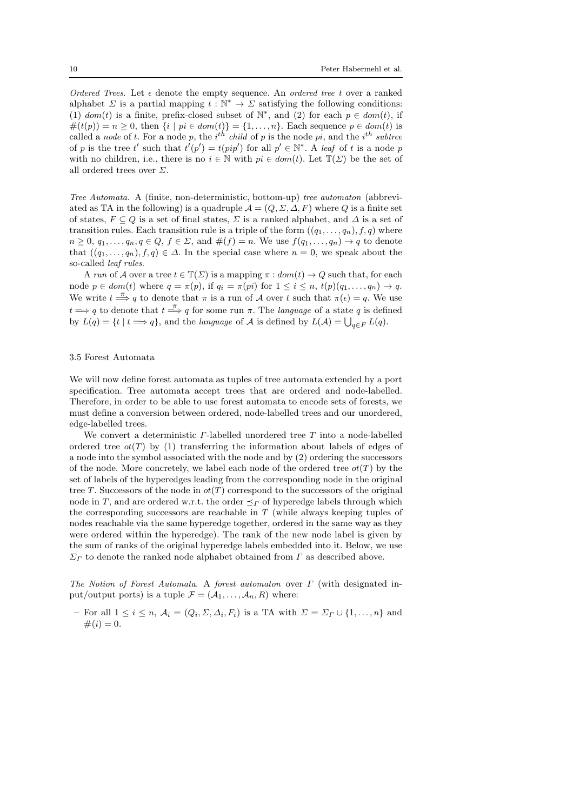Ordered Trees. Let  $\epsilon$  denote the empty sequence. An *ordered tree t* over a ranked alphabet  $\Sigma$  is a partial mapping  $t : \mathbb{N}^* \to \Sigma$  satisfying the following conditions: (1)  $dom(t)$  is a finite, prefix-closed subset of  $\mathbb{N}^*$ , and (2) for each  $p \in dom(t)$ , if  $#(t(p)) = n \geq 0$ , then  $\{i \mid pi \in dom(t)\} = \{1, \ldots, n\}$ . Each sequence  $p \in dom(t)$  is called a *node* of t. For a node p, the i<sup>th</sup> child of p is the node pi, and the i<sup>th</sup> subtree of p is the tree t' such that  $t'(p') = t(pip')$  for all  $p' \in \mathbb{N}^*$ . A leaf of t is a node p with no children, i.e., there is no  $i \in \mathbb{N}$  with  $pi \in dom(t)$ . Let  $\mathbb{T}(\Sigma)$  be the set of all ordered trees over  $\Sigma$ .

Tree Automata. A (finite, non-deterministic, bottom-up) tree automaton (abbreviated as TA in the following) is a quadruple  $\mathcal{A} = (Q, \Sigma, \Delta, F)$  where Q is a finite set of states,  $F \subseteq Q$  is a set of final states,  $\Sigma$  is a ranked alphabet, and  $\Delta$  is a set of transition rules. Each transition rule is a triple of the form  $((q_1, \ldots, q_n), f, q)$  where  $n \geq 0, q_1, \ldots, q_n, q \in Q, f \in \Sigma$ , and  $\#(f) = n$ . We use  $f(q_1, \ldots, q_n) \to q$  to denote that  $((q_1, \ldots, q_n), f, q) \in \Delta$ . In the special case where  $n = 0$ , we speak about the so-called leaf rules.

A run of A over a tree  $t \in \mathbb{T}(\Sigma)$  is a mapping  $\pi : dom(t) \to Q$  such that, for each node  $p \in dom(t)$  where  $q = \pi(p)$ , if  $q_i = \pi(pi)$  for  $1 \leq i \leq n$ ,  $t(p)(q_1, \ldots, q_n) \to q$ . We write  $t \stackrel{\pi}{\Longrightarrow} q$  to denote that  $\pi$  is a run of A over t such that  $\pi(\epsilon) = q$ . We use  $t \Longrightarrow q$  to denote that  $t \stackrel{\pi}{\Longrightarrow} q$  for some run  $\pi$ . The *language* of a state q is defined by  $L(q) = \{t \mid t \Longrightarrow q\}$ , and the language of A is defined by  $L(\mathcal{A}) = \bigcup_{q \in F} L(q)$ .

# 3.5 Forest Automata

We will now define forest automata as tuples of tree automata extended by a port specification. Tree automata accept trees that are ordered and node-labelled. Therefore, in order to be able to use forest automata to encode sets of forests, we must define a conversion between ordered, node-labelled trees and our unordered, edge-labelled trees.

We convert a deterministic Γ-labelled unordered tree T into a node-labelled ordered tree  $ot(T)$  by (1) transferring the information about labels of edges of a node into the symbol associated with the node and by (2) ordering the successors of the node. More concretely, we label each node of the ordered tree  $ot(T)$  by the set of labels of the hyperedges leading from the corresponding node in the original tree T. Successors of the node in  $ot(T)$  correspond to the successors of the original node in T, and are ordered w.r.t. the order  $\preceq_{\Gamma}$  of hyperedge labels through which the corresponding successors are reachable in T (while always keeping tuples of nodes reachable via the same hyperedge together, ordered in the same way as they were ordered within the hyperedge). The rank of the new node label is given by the sum of ranks of the original hyperedge labels embedded into it. Below, we use  $\Sigma_{\Gamma}$  to denote the ranked node alphabet obtained from  $\Gamma$  as described above.

The Notion of Forest Automata. A forest automaton over  $\Gamma$  (with designated input/output ports) is a tuple  $\mathcal{F} = (\mathcal{A}_1, \ldots, \mathcal{A}_n, R)$  where:

 $-$  For all  $1 \leq i \leq n$ ,  $\mathcal{A}_i = (Q_i, \Sigma, \Delta_i, F_i)$  is a TA with  $\Sigma = \Sigma_{\Gamma} \cup \{1, \ldots, n\}$  and  $#(i) = 0.$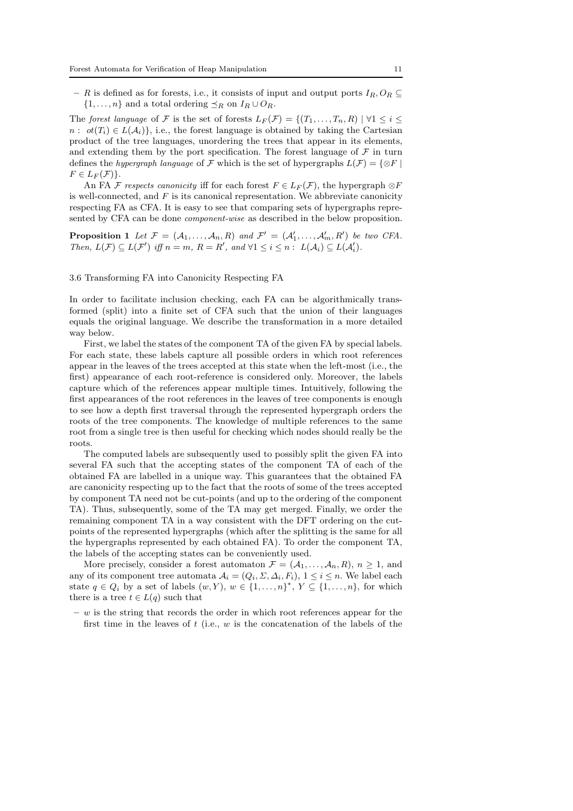– R is defined as for forests, i.e., it consists of input and output ports  $I_R, O_R \subseteq$  $\{1, \ldots, n\}$  and a total ordering  $\preceq_R$  on  $I_R \cup O_R$ .

The forest language of F is the set of forests  $L_F(\mathcal{F}) = \{(T_1, \ldots, T_n, R) \mid \forall 1 \leq i \leq n\}$  $n: \text{ of } (T_i) \in L(\mathcal{A}_i)$ , i.e., the forest language is obtained by taking the Cartesian product of the tree languages, unordering the trees that appear in its elements, and extending them by the port specification. The forest language of  $\mathcal F$  in turn defines the *hypergraph language* of F which is the set of hypergraphs  $L(\mathcal{F}) = \{ \otimes F \mid$  $F \in L_F(\mathcal{F})\}.$ 

An FA F respects canonicity iff for each forest  $F \in L_F(\mathcal{F})$ , the hypergraph  $\otimes F$ is well-connected, and  $F$  is its canonical representation. We abbreviate canonicity respecting FA as CFA. It is easy to see that comparing sets of hypergraphs represented by CFA can be done component-wise as described in the below proposition.

**Proposition 1** Let  $\mathcal{F} = (\mathcal{A}_1, \ldots, \mathcal{A}_n, R)$  and  $\mathcal{F}' = (\mathcal{A}'_1, \ldots, \mathcal{A}'_m, R')$  be two CFA. Then,  $L(\mathcal{F}) \subseteq L(\mathcal{F}')$  iff  $n = m$ ,  $R = R'$ , and  $\forall 1 \leq i \leq n$ :  $L(\mathcal{A}_i) \subseteq L(\mathcal{A}'_i)$ .

### 3.6 Transforming FA into Canonicity Respecting FA

In order to facilitate inclusion checking, each FA can be algorithmically transformed (split) into a finite set of CFA such that the union of their languages equals the original language. We describe the transformation in a more detailed way below.

First, we label the states of the component TA of the given FA by special labels. For each state, these labels capture all possible orders in which root references appear in the leaves of the trees accepted at this state when the left-most (i.e., the first) appearance of each root-reference is considered only. Moreover, the labels capture which of the references appear multiple times. Intuitively, following the first appearances of the root references in the leaves of tree components is enough to see how a depth first traversal through the represented hypergraph orders the roots of the tree components. The knowledge of multiple references to the same root from a single tree is then useful for checking which nodes should really be the roots.

The computed labels are subsequently used to possibly split the given FA into several FA such that the accepting states of the component TA of each of the obtained FA are labelled in a unique way. This guarantees that the obtained FA are canonicity respecting up to the fact that the roots of some of the trees accepted by component TA need not be cut-points (and up to the ordering of the component TA). Thus, subsequently, some of the TA may get merged. Finally, we order the remaining component TA in a way consistent with the DFT ordering on the cutpoints of the represented hypergraphs (which after the splitting is the same for all the hypergraphs represented by each obtained FA). To order the component TA, the labels of the accepting states can be conveniently used.

More precisely, consider a forest automaton  $\mathcal{F} = (\mathcal{A}_1, \dots, \mathcal{A}_n, R)$ ,  $n \geq 1$ , and any of its component tree automata  $A_i = (Q_i, \Sigma, \Delta_i, F_i), 1 \le i \le n$ . We label each state  $q \in Q_i$  by a set of labels  $(w, Y), w \in \{1, \ldots, n\}^*, Y \subseteq \{1, \ldots, n\}$ , for which there is a tree  $t \in L(q)$  such that

 $- w$  is the string that records the order in which root references appear for the first time in the leaves of  $t$  (i.e.,  $w$  is the concatenation of the labels of the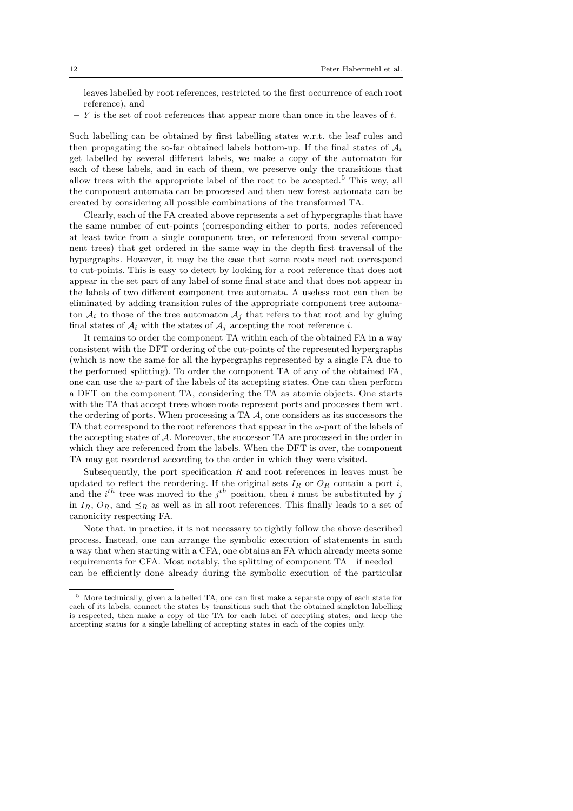leaves labelled by root references, restricted to the first occurrence of each root reference), and

 $- Y$  is the set of root references that appear more than once in the leaves of t.

Such labelling can be obtained by first labelling states w.r.t. the leaf rules and then propagating the so-far obtained labels bottom-up. If the final states of  $A_i$ get labelled by several different labels, we make a copy of the automaton for each of these labels, and in each of them, we preserve only the transitions that allow trees with the appropriate label of the root to be accepted.<sup>5</sup> This way, all the component automata can be processed and then new forest automata can be created by considering all possible combinations of the transformed TA.

Clearly, each of the FA created above represents a set of hypergraphs that have the same number of cut-points (corresponding either to ports, nodes referenced at least twice from a single component tree, or referenced from several component trees) that get ordered in the same way in the depth first traversal of the hypergraphs. However, it may be the case that some roots need not correspond to cut-points. This is easy to detect by looking for a root reference that does not appear in the set part of any label of some final state and that does not appear in the labels of two different component tree automata. A useless root can then be eliminated by adding transition rules of the appropriate component tree automaton  $A_i$  to those of the tree automaton  $A_j$  that refers to that root and by gluing final states of  $A_i$  with the states of  $A_j$  accepting the root reference i.

It remains to order the component TA within each of the obtained FA in a way consistent with the DFT ordering of the cut-points of the represented hypergraphs (which is now the same for all the hypergraphs represented by a single FA due to the performed splitting). To order the component TA of any of the obtained FA, one can use the w-part of the labels of its accepting states. One can then perform a DFT on the component TA, considering the TA as atomic objects. One starts with the TA that accept trees whose roots represent ports and processes them wrt. the ordering of ports. When processing a TA A, one considers as its successors the TA that correspond to the root references that appear in the w-part of the labels of the accepting states of A. Moreover, the successor TA are processed in the order in which they are referenced from the labels. When the DFT is over, the component TA may get reordered according to the order in which they were visited.

Subsequently, the port specification  $R$  and root references in leaves must be updated to reflect the reordering. If the original sets  $I_R$  or  $O_R$  contain a port i, and the  $i^{th}$  tree was moved to the  $j^{th}$  position, then i must be substituted by j in  $I_R$ ,  $O_R$ , and  $\preceq_R$  as well as in all root references. This finally leads to a set of canonicity respecting FA.

Note that, in practice, it is not necessary to tightly follow the above described process. Instead, one can arrange the symbolic execution of statements in such a way that when starting with a CFA, one obtains an FA which already meets some requirements for CFA. Most notably, the splitting of component TA—if needed can be efficiently done already during the symbolic execution of the particular

<sup>5</sup> More technically, given a labelled TA, one can first make a separate copy of each state for each of its labels, connect the states by transitions such that the obtained singleton labelling is respected, then make a copy of the TA for each label of accepting states, and keep the accepting status for a single labelling of accepting states in each of the copies only.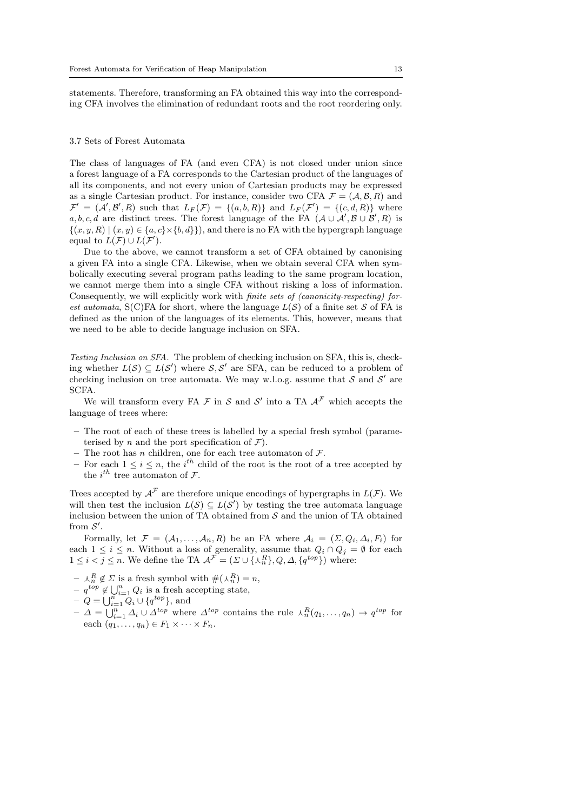statements. Therefore, transforming an FA obtained this way into the corresponding CFA involves the elimination of redundant roots and the root reordering only.

### 3.7 Sets of Forest Automata

The class of languages of FA (and even CFA) is not closed under union since a forest language of a FA corresponds to the Cartesian product of the languages of all its components, and not every union of Cartesian products may be expressed as a single Cartesian product. For instance, consider two CFA  $\mathcal{F} = (\mathcal{A}, \mathcal{B}, R)$  and  $\mathcal{F}' = (\mathcal{A}', \mathcal{B}', R)$  such that  $L_F(\mathcal{F}) = \{(a, b, R)\}\$  and  $L_F(\mathcal{F}') = \{(c, d, R)\}\$  where a, b, c, d are distinct trees. The forest language of the FA  $(A \cup A', B \cup B', R)$  is  $\{(x, y, R) | (x, y) \in \{a, c\} \times \{b, d\}\}\)$ , and there is no FA with the hypergraph language equal to  $L(\mathcal{F}) \cup L(\mathcal{F}')$ .

Due to the above, we cannot transform a set of CFA obtained by canonising a given FA into a single CFA. Likewise, when we obtain several CFA when symbolically executing several program paths leading to the same program location, we cannot merge them into a single CFA without risking a loss of information. Consequently, we will explicitly work with *finite sets of (canonicity-respecting)* forest automata,  $S(C)FA$  for short, where the language  $L(S)$  of a finite set S of FA is defined as the union of the languages of its elements. This, however, means that we need to be able to decide language inclusion on SFA.

Testing Inclusion on SFA. The problem of checking inclusion on SFA, this is, checking whether  $L(S) \subseteq L(S')$  where  $S, S'$  are SFA, can be reduced to a problem of checking inclusion on tree automata. We may w.l.o.g. assume that  $S$  and  $S'$  are SCFA.

We will transform every FA  $\mathcal F$  in  $\mathcal S$  and  $\mathcal S'$  into a TA  $\mathcal A^{\mathcal F}$  which accepts the language of trees where:

- The root of each of these trees is labelled by a special fresh symbol (parameterised by n and the port specification of  $\mathcal{F}$ ).
- The root has n children, one for each tree automaton of  $\mathcal{F}$ .
- − For each  $1 \leq i \leq n$ , the *i*<sup>th</sup> child of the root is the root of a tree accepted by the  $i^{th}$  tree automaton of  $\mathcal{F}$ .

Trees accepted by  $\mathcal{A}^{\mathcal{F}}$  are therefore unique encodings of hypergraphs in  $L(\mathcal{F})$ . We will then test the inclusion  $L(S) \subseteq L(S')$  by testing the tree automata language inclusion between the union of TA obtained from  $S$  and the union of TA obtained from  $S'$ .

Formally, let  $\mathcal{F} = (\mathcal{A}_1, \dots, \mathcal{A}_n, R)$  be an FA where  $\mathcal{A}_i = (\mathcal{Z}, Q_i, \Delta_i, F_i)$  for each  $1 \leq i \leq n$ . Without a loss of generality, assume that  $Q_i \cap Q_j = \emptyset$  for each  $1 \leq i < j \leq n$ . We define the TA  $\mathcal{A}^{\mathcal{F}} = (\Sigma \cup \{\lambda_n^R\}, Q, \Delta, \{q^{top}\})$  where:

- $\lambda_n^R \notin \Sigma$  is a fresh symbol with  $\#(\lambda_n^R) = n$ ,
- $-q^{top} \notin \bigcup_{i=1}^n Q_i$  is a fresh accepting state,
- $-Q = \bigcup_{i=1}^{n} Q_i \cup \{q^{top}\},\$  and
- $-\Delta = \bigcup_{i=1}^n \Delta_i \cup \Delta^{top}$  where  $\Delta^{top}$  contains the rule  $\lambda_n^R(q_1,\ldots,q_n) \to q^{top}$  for each  $(q_1, \ldots, q_n) \in F_1 \times \cdots \times F_n$ .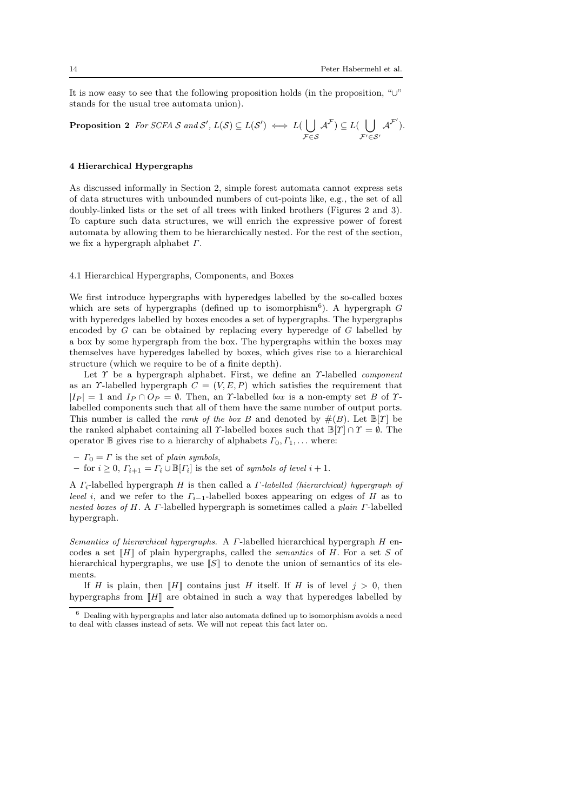It is now easy to see that the following proposition holds (in the proposition, "∪" stands for the usual tree automata union).

**Proposition 2** For SCFA S and S', 
$$
L(S) \subseteq L(S') \iff L(\bigcup_{\mathcal{F} \in S} \mathcal{A}^{\mathcal{F}}) \subseteq L(\bigcup_{\mathcal{F}' \in S'} \mathcal{A}^{\mathcal{F}'}).
$$

### 4 Hierarchical Hypergraphs

As discussed informally in Section 2, simple forest automata cannot express sets of data structures with unbounded numbers of cut-points like, e.g., the set of all doubly-linked lists or the set of all trees with linked brothers (Figures 2 and 3). To capture such data structures, we will enrich the expressive power of forest automata by allowing them to be hierarchically nested. For the rest of the section, we fix a hypergraph alphabet  $\Gamma$ .

# 4.1 Hierarchical Hypergraphs, Components, and Boxes

We first introduce hypergraphs with hyperedges labelled by the so-called boxes which are sets of hypergraphs (defined up to isomorphism<sup>6</sup>). A hypergraph  $G$ with hyperedges labelled by boxes encodes a set of hypergraphs. The hypergraphs encoded by G can be obtained by replacing every hyperedge of G labelled by a box by some hypergraph from the box. The hypergraphs within the boxes may themselves have hyperedges labelled by boxes, which gives rise to a hierarchical structure (which we require to be of a finite depth).

Let  $\Upsilon$  be a hypergraph alphabet. First, we define an  $\Upsilon$ -labelled *component* as an Y-labelled hypergraph  $C = (V, E, P)$  which satisfies the requirement that  $|I_P| = 1$  and  $I_P \cap O_P = \emptyset$ . Then, an Y-labelled box is a non-empty set B of Ylabelled components such that all of them have the same number of output ports. This number is called the rank of the box B and denoted by  $#(B)$ . Let  $\mathbb{B}[\Upsilon]$  be the ranked alphabet containing all Y-labelled boxes such that  $\mathbb{B}[Y] \cap Y = \emptyset$ . The operator  $\mathbb B$  gives rise to a hierarchy of alphabets  $\Gamma_0, \Gamma_1, \ldots$  where:

- for  $i \geq 0$ ,  $\Gamma_{i+1} = \Gamma_i \cup \mathbb{B}[\Gamma_i]$  is the set of symbols of level  $i+1$ .

A  $\Gamma_i$ -labelled hypergraph H is then called a  $\Gamma$ -labelled (hierarchical) hypergraph of *level i*, and we refer to the  $\Gamma_{i-1}$ -labelled boxes appearing on edges of H as to nested boxes of H. A Γ-labelled hypergraph is sometimes called a plain Γ-labelled hypergraph.

Semantics of hierarchical hypergraphs. A Γ-labelled hierarchical hypergraph H encodes a set  $[[H]]$  of plain hypergraphs, called the *semantics* of  $H$ . For a set  $S$  of hierarchical hypergraphs, we use  $\llbracket S \rrbracket$  to denote the union of semantics of its elements.

If H is plain, then  $\llbracket H \rrbracket$  contains just H itself. If H is of level  $j > 0$ , then hypergraphs from  $\llbracket H \rrbracket$  are obtained in such a way that hyperedges labelled by

<sup>–</sup>  $\Gamma_0 = \Gamma$  is the set of plain symbols,

 $^6\,$  Dealing with hypergraphs and later also automata defined up to isomorphism avoids a need to deal with classes instead of sets. We will not repeat this fact later on.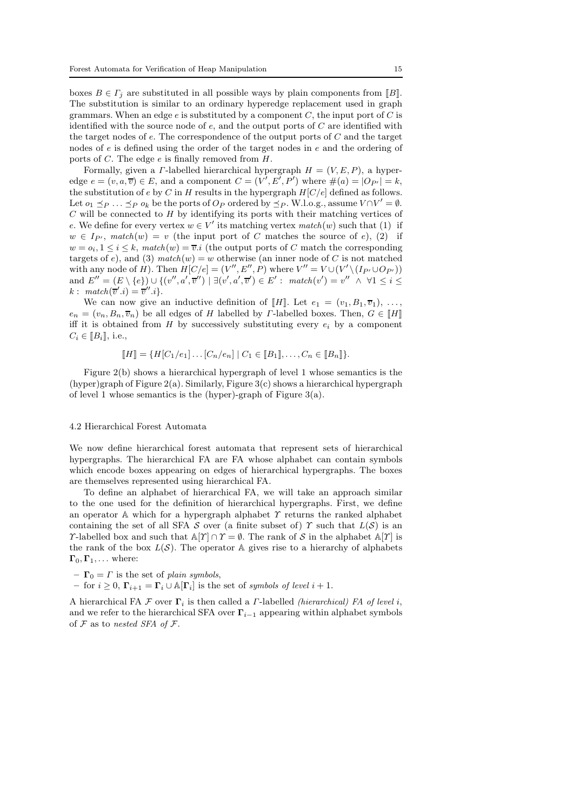boxes  $B \in \Gamma_j$  are substituted in all possible ways by plain components from  $||B||$ . The substitution is similar to an ordinary hyperedge replacement used in graph grammars. When an edge  $e$  is substituted by a component  $C$ , the input port of  $C$  is identified with the source node of  $e$ , and the output ports of  $C$  are identified with the target nodes of e. The correspondence of the output ports of C and the target nodes of e is defined using the order of the target nodes in e and the ordering of ports of C. The edge e is finally removed from H.

Formally, given a *Γ*-labelled hierarchical hypergraph  $H = (V, E, P)$ , a hyperedge  $e = (v, a, \overline{v}) \in E$ , and a component  $C = (V', E', P')$  where  $\#(a) = |O_{P'}| = k$ , the substitution of e by C in H results in the hypergraph  $H[C/e]$  defined as follows. Let  $o_1 \preceq_P \ldots \preceq_P o_k$  be the ports of  $O_P$  ordered by  $\preceq_P$ . W.l.o.g., assume  $V \cap V' = \emptyset$ .  $C$  will be connected to  $H$  by identifying its ports with their matching vertices of e. We define for every vertex  $w \in V'$  its matching vertex match(w) such that (1) if  $w \in I_{P'}$ , match $(w) = v$  (the input port of C matches the source of e), (2) if  $w = o_i, 1 \leq i \leq k$ ,  $match(w) = \overline{v}.i$  (the output ports of C match the corresponding targets of e), and (3)  $match(w) = w$  otherwise (an inner node of C is not matched with any node of H). Then  $H[C/e] = (V'', E'', P)$  where  $V'' = V \cup (V' \setminus (I_{P'} \cup O_{P'}))$ and  $E'' = (E \setminus \{e\}) \cup \{(v'', a', \overline{v}'') \mid \exists (v', a', \overline{v}') \in E' : \text{ match}(v') = v'' \land \forall 1 \leq i \leq$  $k: \; match(\overline{v}'.i) = \overline{v}'''.i$ .

We can now give an inductive definition of  $[H]$ . Let  $e_1 = (v_1, B_1, \overline{v}_1), \ldots,$  $e_n = (v_n, B_n, \overline{v}_n)$  be all edges of H labelled by *Γ*-labelled boxes. Then,  $G \in \llbracket H \rrbracket$ iff it is obtained from  $H$  by successively substituting every  $e_i$  by a component  $C_i \in [B_i]$ , i.e.,

$$
[[H] = \{H[C_1/e_1] \dots [C_n/e_n] \mid C_1 \in [B_1], \dots, C_n \in [B_n] \}.
$$

Figure 2(b) shows a hierarchical hypergraph of level 1 whose semantics is the  $(hyper) graph of Figure 2(a)$ . Similarly, Figure 3(c) shows a hierarchical hypergraph of level 1 whose semantics is the (hyper)-graph of Figure 3(a).

### 4.2 Hierarchical Forest Automata

We now define hierarchical forest automata that represent sets of hierarchical hypergraphs. The hierarchical FA are FA whose alphabet can contain symbols which encode boxes appearing on edges of hierarchical hypergraphs. The boxes are themselves represented using hierarchical FA.

To define an alphabet of hierarchical FA, we will take an approach similar to the one used for the definition of hierarchical hypergraphs. First, we define an operator A which for a hypergraph alphabet  $\Upsilon$  returns the ranked alphabet containing the set of all SFA S over (a finite subset of)  $\Upsilon$  such that  $L(S)$  is an T-labelled box and such that  $\mathbb{A}[T] \cap \Upsilon = \emptyset$ . The rank of S in the alphabet  $\mathbb{A}[T]$  is the rank of the box  $L(S)$ . The operator A gives rise to a hierarchy of alphabets  $\Gamma_0, \Gamma_1, \ldots$  where:

- $\Gamma_0 = \Gamma$  is the set of plain symbols,
- for  $i \geq 0$ ,  $\Gamma_{i+1} = \Gamma_i \cup \mathbb{A}[\Gamma_i]$  is the set of symbols of level  $i+1$ .

A hierarchical FA  $\mathcal F$  over  $\Gamma_i$  is then called a *Γ*-labelled *(hierarchical) FA of level i*, and we refer to the hierarchical SFA over  $\Gamma_{i-1}$  appearing within alphabet symbols of  $F$  as to nested SFA of  $F$ .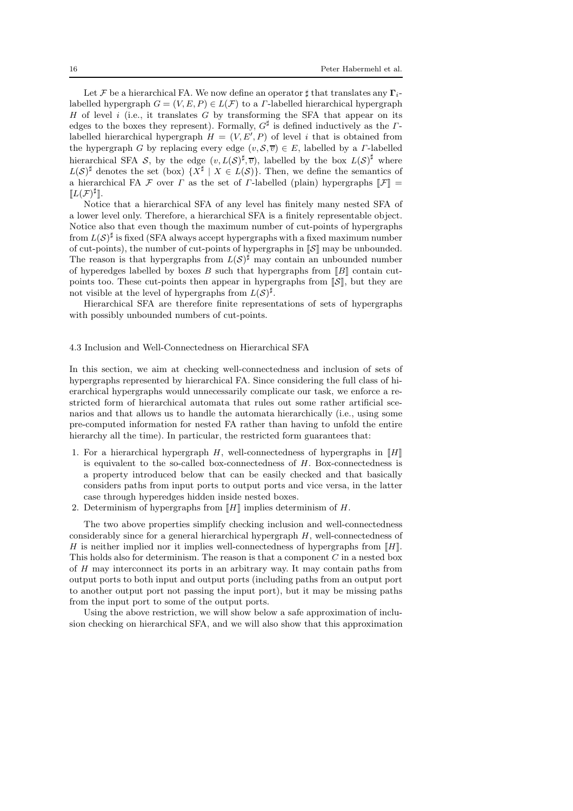Let F be a hierarchical FA. We now define an operator  $\sharp$  that translates any  $\Gamma_{i}$ labelled hypergraph  $G = (V, E, P) \in L(F)$  to a *Γ*-labelled hierarchical hypergraph H of level i (i.e., it translates  $G$  by transforming the SFA that appear on its edges to the boxes they represent). Formally,  $G^{\sharp}$  is defined inductively as the  $\Gamma$ labelled hierarchical hypergraph  $H = (V, E', P)$  of level i that is obtained from the hypergraph G by replacing every edge  $(v, \mathcal{S}, \overline{v}) \in E$ , labelled by a *Γ*-labelled hierarchical SFA S, by the edge  $(v, L(S)^{\sharp}, \overline{v})$ , labelled by the box  $L(S)^{\sharp}$  where  $L(S)^{\sharp}$  denotes the set (box)  $\{X^{\sharp} \mid X \in L(S)\}\.$  Then, we define the semantics of a hierarchical FA F over  $\Gamma$  as the set of  $\Gamma$ -labelled (plain) hypergraphs  $\llbracket \mathcal{F} \rrbracket$  =  $\llbracket L(\mathcal{F})^{\sharp} \rrbracket.$ 

Notice that a hierarchical SFA of any level has finitely many nested SFA of a lower level only. Therefore, a hierarchical SFA is a finitely representable object. Notice also that even though the maximum number of cut-points of hypergraphs from  $L(S)^{\sharp}$  is fixed (SFA always accept hypergraphs with a fixed maximum number of cut-points), the number of cut-points of hypergraphs in  $\llbracket \mathcal{S} \rrbracket$  may be unbounded. The reason is that hypergraphs from  $L(S)^{\sharp}$  may contain an unbounded number of hyperedges labelled by boxes B such that hypergraphs from  $\llbracket B \rrbracket$  contain cutpoints too. These cut-points then appear in hypergraphs from  $\llbracket \mathcal{S} \rrbracket$ , but they are not visible at the level of hypergraphs from  $L(S)^{\sharp}$ .

Hierarchical SFA are therefore finite representations of sets of hypergraphs with possibly unbounded numbers of cut-points.

#### 4.3 Inclusion and Well-Connectedness on Hierarchical SFA

In this section, we aim at checking well-connectedness and inclusion of sets of hypergraphs represented by hierarchical FA. Since considering the full class of hierarchical hypergraphs would unnecessarily complicate our task, we enforce a restricted form of hierarchical automata that rules out some rather artificial scenarios and that allows us to handle the automata hierarchically (i.e., using some pre-computed information for nested FA rather than having to unfold the entire hierarchy all the time). In particular, the restricted form guarantees that:

- 1. For a hierarchical hypergraph H, well-connectedness of hypergraphs in  $\llbracket H \rrbracket$ is equivalent to the so-called box-connectedness of  $H$ . Box-connectedness is a property introduced below that can be easily checked and that basically considers paths from input ports to output ports and vice versa, in the latter case through hyperedges hidden inside nested boxes.
- 2. Determinism of hypergraphs from  $\llbracket H \rrbracket$  implies determinism of H.

The two above properties simplify checking inclusion and well-connectedness considerably since for a general hierarchical hypergraph  $H$ , well-connectedness of H is neither implied nor it implies well-connectedness of hypergraphs from  $\llbracket H \rrbracket$ . This holds also for determinism. The reason is that a component  $C$  in a nested box of H may interconnect its ports in an arbitrary way. It may contain paths from output ports to both input and output ports (including paths from an output port to another output port not passing the input port), but it may be missing paths from the input port to some of the output ports.

Using the above restriction, we will show below a safe approximation of inclusion checking on hierarchical SFA, and we will also show that this approximation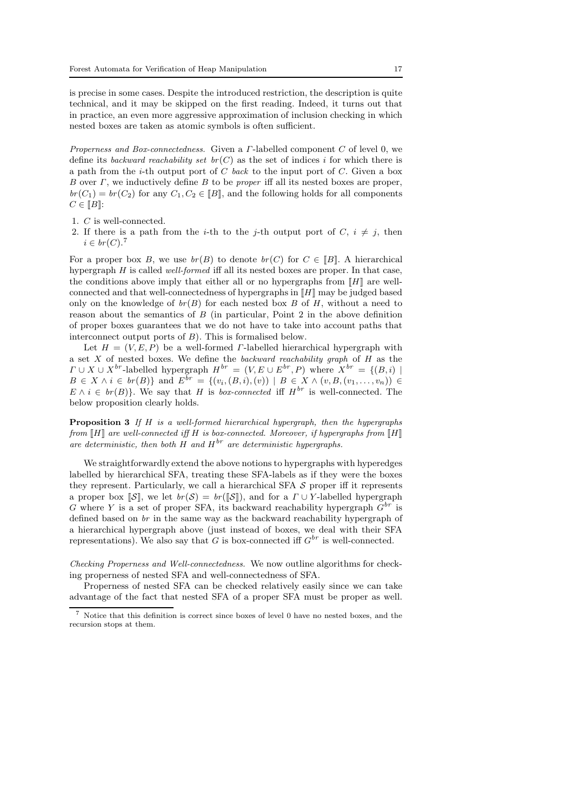is precise in some cases. Despite the introduced restriction, the description is quite technical, and it may be skipped on the first reading. Indeed, it turns out that in practice, an even more aggressive approximation of inclusion checking in which nested boxes are taken as atomic symbols is often sufficient.

Properness and Box-connectedness. Given a  $\Gamma$ -labelled component  $C$  of level 0, we define its backward reachability set  $br(C)$  as the set of indices i for which there is a path from the  $i$ -th output port of  $C$  back to the input port of  $C$ . Given a box B over  $\Gamma$ , we inductively define  $B$  to be *proper* iff all its nested boxes are proper,  $br(C_1) = br(C_2)$  for any  $C_1, C_2 \in [B]$ , and the following holds for all components  $C \in [B]$ :

- 1. C is well-connected.
- 2. If there is a path from the *i*-th to the *j*-th output port of C,  $i \neq j$ , then  $i \in br(C).$ <sup>7</sup>

For a proper box B, we use  $br(B)$  to denote  $br(C)$  for  $C \in [B]$ . A hierarchical hypergraph  $H$  is called *well-formed* iff all its nested boxes are proper. In that case, the conditions above imply that either all or no hypergraphs from  $\llbracket H \rrbracket$  are wellconnected and that well-connectedness of hypergraphs in  $\llbracket H \rrbracket$  may be judged based only on the knowledge of  $br(B)$  for each nested box B of H, without a need to reason about the semantics of B (in particular, Point 2 in the above definition of proper boxes guarantees that we do not have to take into account paths that interconnect output ports of B). This is formalised below.

Let  $H = (V, E, P)$  be a well-formed *Γ*-labelled hierarchical hypergraph with a set  $X$  of nested boxes. We define the backward reachability graph of  $H$  as the  $\Gamma \cup X \cup X^{br}$ -labelled hypergraph  $H^{br} = (V, E \cup E^{br}, P)$  where  $X^{br} = \{(B, i) \mid$  $B \in X \land i \in br(B) \}$  and  $E^{br} = \{(v_i, (B, i), (v)) \mid B \in X \land (v, B, (v_1, \ldots, v_n)) \in$  $E \wedge i \in br(B)$ . We say that H is *box-connected* if  $H^{br}$  is well-connected. The below proposition clearly holds.

**Proposition 3** If  $H$  is a well-formed hierarchical hypergraph, then the hypergraphs from  $\llbracket H \rrbracket$  are well-connected iff H is box-connected. Moreover, if hypergraphs from  $\llbracket H \rrbracket$ are deterministic, then both  $H$  and  $H^{br}$  are deterministic hypergraphs.

We straightforwardly extend the above notions to hypergraphs with hyperedges labelled by hierarchical SFA, treating these SFA-labels as if they were the boxes they represent. Particularly, we call a hierarchical SFA  $S$  proper iff it represents a proper box  $\mathcal{S}$ , we let  $br(\mathcal{S}) = br(\mathcal{S})$ , and for a  $\Gamma \cup Y$ -labelled hypergraph G where Y is a set of proper SFA, its backward reachability hypergraph  $G^{br}$  is defined based on br in the same way as the backward reachability hypergraph of a hierarchical hypergraph above (just instead of boxes, we deal with their SFA representations). We also say that G is box-connected iff  $G^{br}$  is well-connected.

Checking Properness and Well-connectedness. We now outline algorithms for checking properness of nested SFA and well-connectedness of SFA.

Properness of nested SFA can be checked relatively easily since we can take advantage of the fact that nested SFA of a proper SFA must be proper as well.

<sup>7</sup> Notice that this definition is correct since boxes of level 0 have no nested boxes, and the recursion stops at them.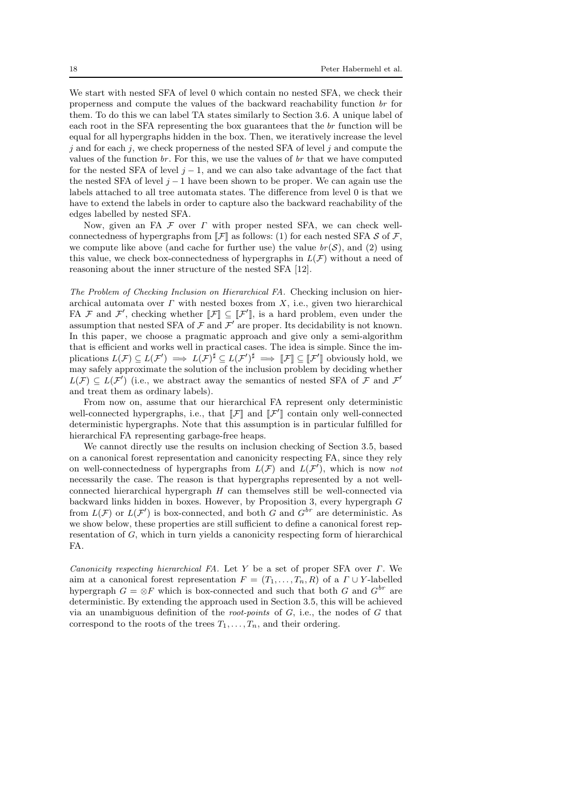We start with nested SFA of level 0 which contain no nested SFA, we check their properness and compute the values of the backward reachability function br for them. To do this we can label TA states similarly to Section 3.6. A unique label of each root in the SFA representing the box guarantees that the br function will be equal for all hypergraphs hidden in the box. Then, we iteratively increase the level  $j$  and for each  $j$ , we check properness of the nested SFA of level  $j$  and compute the values of the function  $br$ . For this, we use the values of  $br$  that we have computed for the nested SFA of level  $j-1$ , and we can also take advantage of the fact that the nested SFA of level  $j-1$  have been shown to be proper. We can again use the labels attached to all tree automata states. The difference from level 0 is that we have to extend the labels in order to capture also the backward reachability of the edges labelled by nested SFA.

Now, given an FA  $\mathcal F$  over  $\Gamma$  with proper nested SFA, we can check wellconnectedness of hypergraphs from  $\llbracket \mathcal{F} \rrbracket$  as follows: (1) for each nested SFA S of F, we compute like above (and cache for further use) the value  $br(S)$ , and (2) using this value, we check box-connectedness of hypergraphs in  $L(\mathcal{F})$  without a need of reasoning about the inner structure of the nested SFA [12].

The Problem of Checking Inclusion on Hierarchical FA. Checking inclusion on hierarchical automata over  $\Gamma$  with nested boxes from  $X$ , i.e., given two hierarchical FA  $\mathcal F$  and  $\mathcal F'$ , checking whether  $\llbracket \mathcal F \rrbracket \subseteq \llbracket \mathcal F' \rrbracket$ , is a hard problem, even under the assumption that nested SFA of  $\mathcal F$  and  $\mathcal F'$  are proper. Its decidability is not known. In this paper, we choose a pragmatic approach and give only a semi-algorithm that is efficient and works well in practical cases. The idea is simple. Since the implications  $L(\mathcal{F}) \subseteq L(\mathcal{F}') \implies L(\mathcal{F})^{\sharp} \subseteq L(\mathcal{F}')^{\sharp} \implies \llbracket \mathcal{F} \rrbracket \subseteq \llbracket \mathcal{F}' \rrbracket$  obviously hold, we may safely approximate the solution of the inclusion problem by deciding whether  $L(\mathcal{F}) \subseteq L(\mathcal{F}')$  (i.e., we abstract away the semantics of nested SFA of  $\mathcal F$  and  $\mathcal F'$ and treat them as ordinary labels).

From now on, assume that our hierarchical FA represent only deterministic well-connected hypergraphs, i.e., that  $\llbracket \mathcal{F} \rrbracket$  and  $\llbracket \mathcal{F}' \rrbracket$  contain only well-connected deterministic hypergraphs. Note that this assumption is in particular fulfilled for hierarchical FA representing garbage-free heaps.

We cannot directly use the results on inclusion checking of Section 3.5, based on a canonical forest representation and canonicity respecting FA, since they rely on well-connectedness of hypergraphs from  $L(\mathcal{F})$  and  $L(\mathcal{F}')$ , which is now not necessarily the case. The reason is that hypergraphs represented by a not wellconnected hierarchical hypergraph  $H$  can themselves still be well-connected via backward links hidden in boxes. However, by Proposition 3, every hypergraph G from  $L(\mathcal{F})$  or  $L(\mathcal{F}')$  is box-connected, and both G and  $G^{br}$  are deterministic. As we show below, these properties are still sufficient to define a canonical forest representation of G, which in turn yields a canonicity respecting form of hierarchical FA.

Canonicity respecting hierarchical FA. Let Y be a set of proper SFA over  $\Gamma$ . We aim at a canonical forest representation  $F = (T_1, \ldots, T_n, R)$  of a  $\Gamma \cup Y$ -labelled hypergraph  $G = \otimes F$  which is box-connected and such that both G and  $G^{br}$  are deterministic. By extending the approach used in Section 3.5, this will be achieved via an unambiguous definition of the root-points of  $G$ , i.e., the nodes of  $G$  that correspond to the roots of the trees  $T_1, \ldots, T_n$ , and their ordering.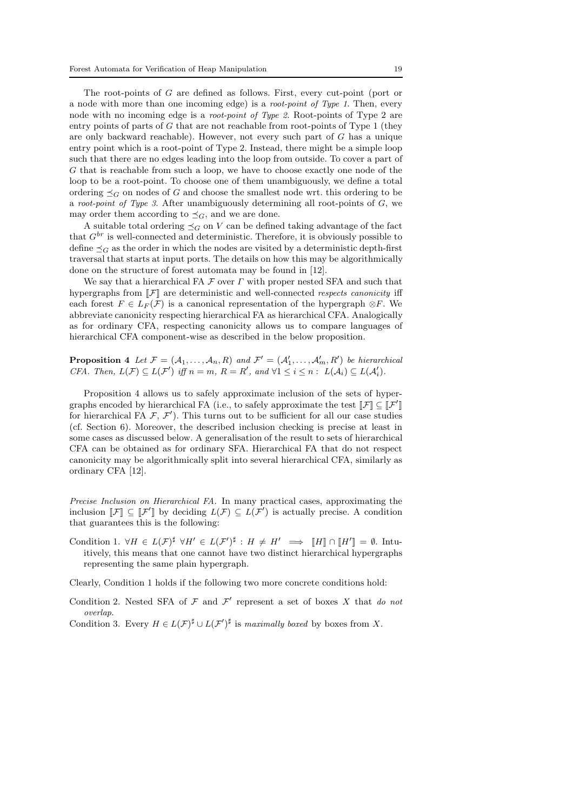The root-points of G are defined as follows. First, every cut-point (port or a node with more than one incoming edge) is a root-point of Type 1. Then, every node with no incoming edge is a root-point of Type 2. Root-points of Type 2 are entry points of parts of G that are not reachable from root-points of Type 1 (they are only backward reachable). However, not every such part of G has a unique entry point which is a root-point of Type 2. Instead, there might be a simple loop such that there are no edges leading into the loop from outside. To cover a part of G that is reachable from such a loop, we have to choose exactly one node of the loop to be a root-point. To choose one of them unambiguously, we define a total ordering  $\preceq_G$  on nodes of G and choose the smallest node wrt. this ordering to be a root-point of Type 3. After unambiguously determining all root-points of G, we may order them according to  $\preceq_G$ , and we are done.

A suitable total ordering  $\preceq_G$  on V can be defined taking advantage of the fact that  $G^{br}$  is well-connected and deterministic. Therefore, it is obviously possible to define  $\preceq_G$  as the order in which the nodes are visited by a deterministic depth-first traversal that starts at input ports. The details on how this may be algorithmically done on the structure of forest automata may be found in [12].

We say that a hierarchical FA  $\mathcal F$  over  $\Gamma$  with proper nested SFA and such that hypergraphs from  $\llbracket \mathcal{F} \rrbracket$  are deterministic and well-connected respects canonicity iff each forest  $F \in L_F(\mathcal{F})$  is a canonical representation of the hypergraph ⊗F. We abbreviate canonicity respecting hierarchical FA as hierarchical CFA. Analogically as for ordinary CFA, respecting canonicity allows us to compare languages of hierarchical CFA component-wise as described in the below proposition.

**Proposition 4** Let  $\mathcal{F} = (\mathcal{A}_1, \ldots, \mathcal{A}_n, R)$  and  $\mathcal{F}' = (\mathcal{A}'_1, \ldots, \mathcal{A}'_m, R')$  be hierarchical CFA. Then,  $L(\mathcal{F}) \subseteq L(\mathcal{F}')$  iff  $n = m$ ,  $R = R'$ , and  $\forall 1 \leq i \leq n$ :  $L(\mathcal{A}_i) \subseteq L(\mathcal{A}'_i)$ .

Proposition 4 allows us to safely approximate inclusion of the sets of hypergraphs encoded by hierarchical FA (i.e., to safely approximate the test  $\llbracket \mathcal{F} \rrbracket \subseteq \llbracket \mathcal{F}' \rrbracket$ for hierarchical FA  $\mathcal{F}, \mathcal{F}'$ ). This turns out to be sufficient for all our case studies (cf. Section 6). Moreover, the described inclusion checking is precise at least in some cases as discussed below. A generalisation of the result to sets of hierarchical CFA can be obtained as for ordinary SFA. Hierarchical FA that do not respect canonicity may be algorithmically split into several hierarchical CFA, similarly as ordinary CFA [12].

Precise Inclusion on Hierarchical FA. In many practical cases, approximating the inclusion  $\llbracket \mathcal{F} \rrbracket \subseteq \llbracket \mathcal{F}' \rrbracket$  by deciding  $L(\mathcal{F}) \subseteq L(\mathcal{F}')$  is actually precise. A condition that guarantees this is the following:

Condition 1.  $\forall H \in L(\mathcal{F})^{\sharp}$   $\forall H' \in L(\mathcal{F}')^{\sharp}: H \neq H' \implies \llbracket H \rrbracket \cap \llbracket H' \rrbracket = \emptyset$ . Intuitively, this means that one cannot have two distinct hierarchical hypergraphs representing the same plain hypergraph.

Clearly, Condition 1 holds if the following two more concrete conditions hold:

- Condition 2. Nested SFA of  $\mathcal F$  and  $\mathcal F'$  represent a set of boxes X that do not overlap.
- Condition 3. Every  $H \in L(\mathcal{F})^{\sharp} \cup L(\mathcal{F}')^{\sharp}$  is maximally boxed by boxes from X.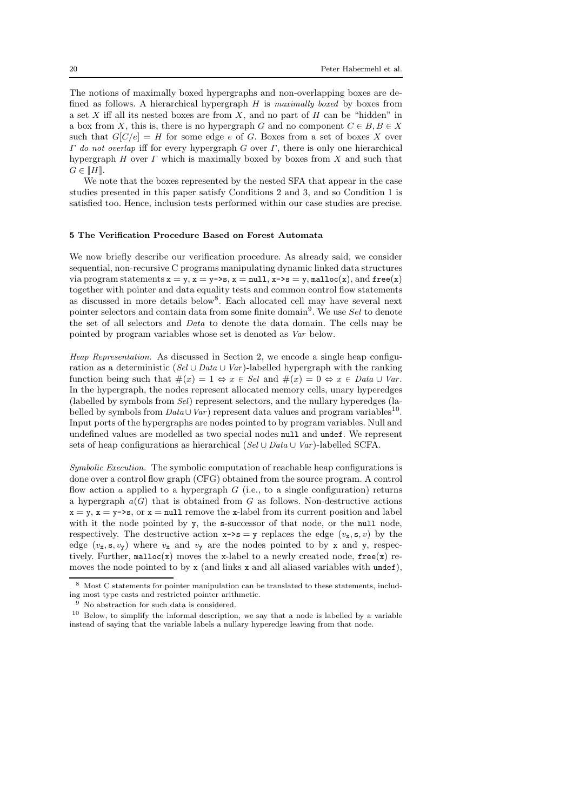The notions of maximally boxed hypergraphs and non-overlapping boxes are defined as follows. A hierarchical hypergraph  $H$  is maximally boxed by boxes from a set  $X$  iff all its nested boxes are from  $X$ , and no part of  $H$  can be "hidden" in a box from X, this is, there is no hypergraph G and no component  $C \in B, B \in X$ such that  $G[C/e] = H$  for some edge e of G. Boxes from a set of boxes X over  $\Gamma$  do not overlap iff for every hypergraph G over  $\Gamma$ , there is only one hierarchical hypergraph  $H$  over  $\Gamma$  which is maximally boxed by boxes from  $X$  and such that  $G \in \llbracket H \rrbracket.$ 

We note that the boxes represented by the nested SFA that appear in the case studies presented in this paper satisfy Conditions 2 and 3, and so Condition 1 is satisfied too. Hence, inclusion tests performed within our case studies are precise.

# 5 The Verification Procedure Based on Forest Automata

We now briefly describe our verification procedure. As already said, we consider sequential, non-recursive C programs manipulating dynamic linked data structures via program statements  $x = y$ ,  $x = y - \infty$ ,  $x = null$ ,  $x - \infty = y$ , malloc(x), and free(x) together with pointer and data equality tests and common control flow statements as discussed in more details below<sup>8</sup> . Each allocated cell may have several next pointer selectors and contain data from some finite domain<sup>9</sup>. We use  $Sel$  to denote the set of all selectors and Data to denote the data domain. The cells may be pointed by program variables whose set is denoted as Var below.

Heap Representation. As discussed in Section 2, we encode a single heap configuration as a deterministic (Sel ∪ Data ∪ Var)-labelled hypergraph with the ranking function being such that  $\#(x) = 1 \Leftrightarrow x \in Sel$  and  $\#(x) = 0 \Leftrightarrow x \in Data \cup Var$ . In the hypergraph, the nodes represent allocated memory cells, unary hyperedges (labelled by symbols from Sel) represent selectors, and the nullary hyperedges (labelled by symbols from  $Data \cup Var$ ) represent data values and program variables<sup>10</sup>. Input ports of the hypergraphs are nodes pointed to by program variables. Null and undefined values are modelled as two special nodes null and undef. We represent sets of heap configurations as hierarchical  $(Sel \cup Data \cup Var)$ -labelled SCFA.

Symbolic Execution. The symbolic computation of reachable heap configurations is done over a control flow graph (CFG) obtained from the source program. A control flow action  $a$  applied to a hypergraph  $G$  (i.e., to a single configuration) returns a hypergraph  $a(G)$  that is obtained from G as follows. Non-destructive actions  $x = y$ ,  $x = y$ ->s, or  $x = null$  remove the x-label from its current position and label with it the node pointed by y, the s-successor of that node, or the null node, respectively. The destructive action  $x\rightarrow s = y$  replaces the edge  $(v_x, s, v)$  by the edge  $(v_x, s, v_y)$  where  $v_x$  and  $v_y$  are the nodes pointed to by x and y, respectively. Further,  $\text{malloc}(x)$  moves the x-label to a newly created node,  $\text{free}(x)$  removes the node pointed to by  $x$  (and links x and all aliased variables with undef),

<sup>8</sup> Most C statements for pointer manipulation can be translated to these statements, including most type casts and restricted pointer arithmetic.

<sup>&</sup>lt;sup>9</sup> No abstraction for such data is considered.

 $10$  Below, to simplify the informal description, we say that a node is labelled by a variable instead of saying that the variable labels a nullary hyperedge leaving from that node.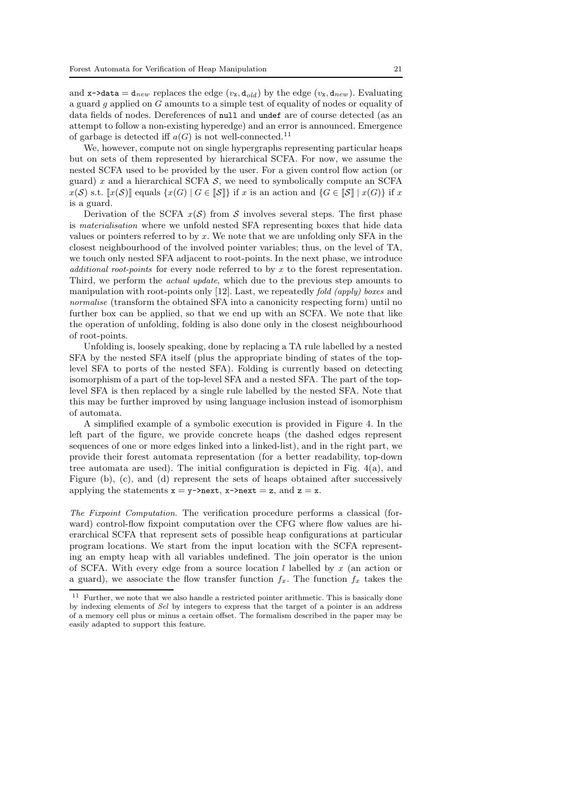and x->data =  $d_{new}$  replaces the edge  $(v_x, d_{old})$  by the edge  $(v_x, d_{new})$ . Evaluating a guard g applied on  $G$  amounts to a simple test of equality of nodes or equality of data fields of nodes. Dereferences of null and undef are of course detected (as an attempt to follow a non-existing hyperedge) and an error is announced. Emergence of garbage is detected iff  $a(G)$  is not well-connected.<sup>11</sup>

We, however, compute not on single hypergraphs representing particular heaps but on sets of them represented by hierarchical SCFA. For now, we assume the nested SCFA used to be provided by the user. For a given control flow action (or guard) x and a hierarchical SCFA  $S$ , we need to symbolically compute an SCFA  $x(S)$  s.t.  $[x(S)]$  equals  $\{x(G) | G \in \llbracket S \rrbracket \}$  if x is an action and  $\{G \in \llbracket S \rrbracket | x(G) \}$  if x is a guard.

Derivation of the SCFA  $x(S)$  from S involves several steps. The first phase is materialisation where we unfold nested SFA representing boxes that hide data values or pointers referred to by  $x$ . We note that we are unfolding only SFA in the closest neighbourhood of the involved pointer variables; thus, on the level of TA, we touch only nested SFA adjacent to root-points. In the next phase, we introduce additional root-points for every node referred to by x to the forest representation. Third, we perform the actual update, which due to the previous step amounts to manipulation with root-points only [12]. Last, we repeatedly fold (apply) boxes and normalise (transform the obtained SFA into a canonicity respecting form) until no further box can be applied, so that we end up with an SCFA. We note that like the operation of unfolding, folding is also done only in the closest neighbourhood of root-points.

Unfolding is, loosely speaking, done by replacing a TA rule labelled by a nested SFA by the nested SFA itself (plus the appropriate binding of states of the toplevel SFA to ports of the nested SFA). Folding is currently based on detecting isomorphism of a part of the top-level SFA and a nested SFA. The part of the toplevel SFA is then replaced by a single rule labelled by the nested SFA. Note that this may be further improved by using language inclusion instead of isomorphism of automata.

A simplified example of a symbolic execution is provided in Figure 4. In the left part of the figure, we provide concrete heaps (the dashed edges represent sequences of one or more edges linked into a linked-list), and in the right part, we provide their forest automata representation (for a better readability, top-down tree automata are used). The initial configuration is depicted in Fig. 4(a), and Figure (b), (c), and (d) represent the sets of heaps obtained after successively applying the statements  $x = y$ ->next,  $x$ ->next = z, and  $z = x$ .

The Fixpoint Computation. The verification procedure performs a classical (forward) control-flow fixpoint computation over the CFG where flow values are hierarchical SCFA that represent sets of possible heap configurations at particular program locations. We start from the input location with the SCFA representing an empty heap with all variables undefined. The join operator is the union of SCFA. With every edge from a source location l labelled by x (an action or a guard), we associate the flow transfer function  $f_x$ . The function  $f_x$  takes the

<sup>&</sup>lt;sup>11</sup> Further, we note that we also handle a restricted pointer arithmetic. This is basically done by indexing elements of Sel by integers to express that the target of a pointer is an address of a memory cell plus or minus a certain offset. The formalism described in the paper may be easily adapted to support this feature.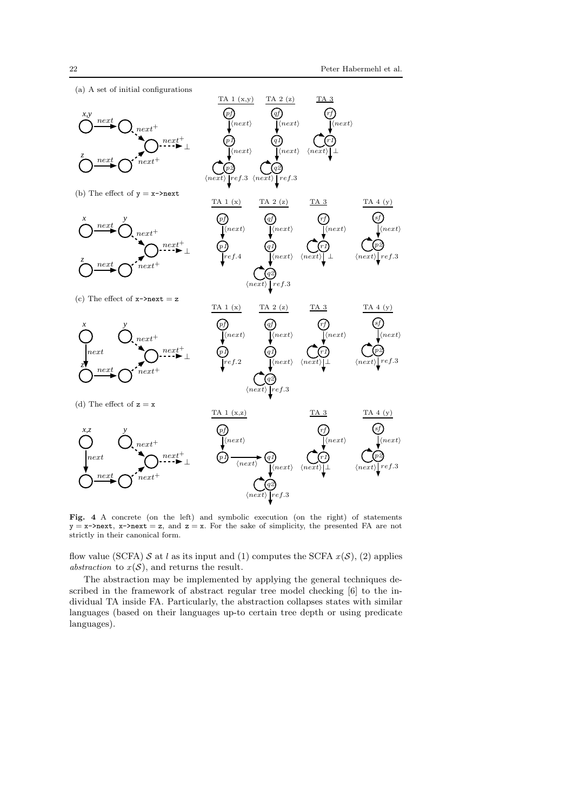

Fig. 4 A concrete (on the left) and symbolic execution (on the right) of statements  $y = x$ ->next,  $x$ ->next = z, and z = x. For the sake of simplicity, the presented FA are not strictly in their canonical form.

flow value (SCFA) S at l as its input and (1) computes the SCFA  $x(S)$ , (2) applies abstraction to  $x(S)$ , and returns the result.

The abstraction may be implemented by applying the general techniques described in the framework of abstract regular tree model checking [6] to the individual TA inside FA. Particularly, the abstraction collapses states with similar languages (based on their languages up-to certain tree depth or using predicate languages).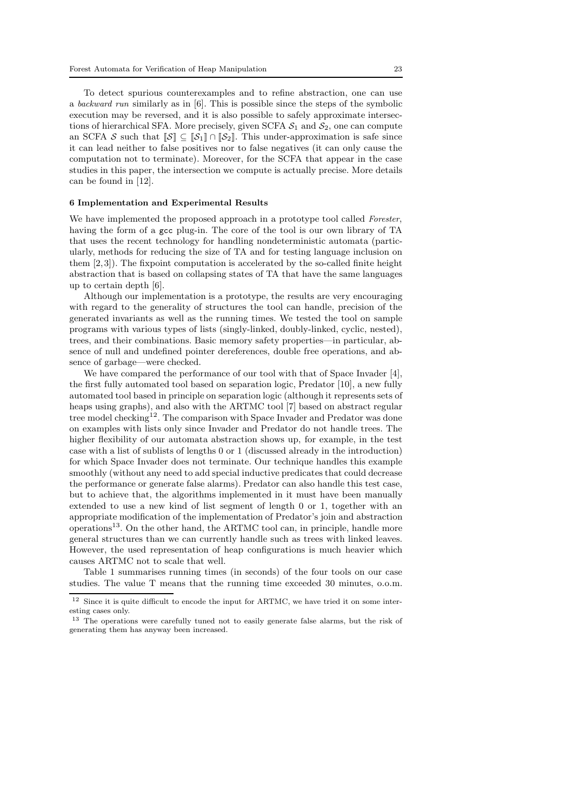To detect spurious counterexamples and to refine abstraction, one can use a backward run similarly as in [6]. This is possible since the steps of the symbolic execution may be reversed, and it is also possible to safely approximate intersections of hierarchical SFA. More precisely, given SCFA  $S_1$  and  $S_2$ , one can compute an SCFA S such that  $\mathcal{S} \subseteq \mathcal{S}_1 \cap \mathcal{S}_2$ . This under-approximation is safe since it can lead neither to false positives nor to false negatives (it can only cause the computation not to terminate). Moreover, for the SCFA that appear in the case studies in this paper, the intersection we compute is actually precise. More details can be found in [12].

#### 6 Implementation and Experimental Results

We have implemented the proposed approach in a prototype tool called Forester. having the form of a gcc plug-in. The core of the tool is our own library of TA that uses the recent technology for handling nondeterministic automata (particularly, methods for reducing the size of TA and for testing language inclusion on them [2, 3]). The fixpoint computation is accelerated by the so-called finite height abstraction that is based on collapsing states of TA that have the same languages up to certain depth [6].

Although our implementation is a prototype, the results are very encouraging with regard to the generality of structures the tool can handle, precision of the generated invariants as well as the running times. We tested the tool on sample programs with various types of lists (singly-linked, doubly-linked, cyclic, nested), trees, and their combinations. Basic memory safety properties—in particular, absence of null and undefined pointer dereferences, double free operations, and absence of garbage—were checked.

We have compared the performance of our tool with that of Space Invader [4], the first fully automated tool based on separation logic, Predator [10], a new fully automated tool based in principle on separation logic (although it represents sets of heaps using graphs), and also with the ARTMC tool [7] based on abstract regular tree model checking<sup>12</sup>. The comparison with Space Invader and Predator was done on examples with lists only since Invader and Predator do not handle trees. The higher flexibility of our automata abstraction shows up, for example, in the test case with a list of sublists of lengths 0 or 1 (discussed already in the introduction) for which Space Invader does not terminate. Our technique handles this example smoothly (without any need to add special inductive predicates that could decrease the performance or generate false alarms). Predator can also handle this test case, but to achieve that, the algorithms implemented in it must have been manually extended to use a new kind of list segment of length 0 or 1, together with an appropriate modification of the implementation of Predator's join and abstraction operations<sup>13</sup>. On the other hand, the ARTMC tool can, in principle, handle more general structures than we can currently handle such as trees with linked leaves. However, the used representation of heap configurations is much heavier which causes ARTMC not to scale that well.

Table 1 summarises running times (in seconds) of the four tools on our case studies. The value T means that the running time exceeded 30 minutes, o.o.m.

<sup>12</sup> Since it is quite difficult to encode the input for ARTMC, we have tried it on some interesting cases only.

<sup>13</sup> The operations were carefully tuned not to easily generate false alarms, but the risk of generating them has anyway been increased.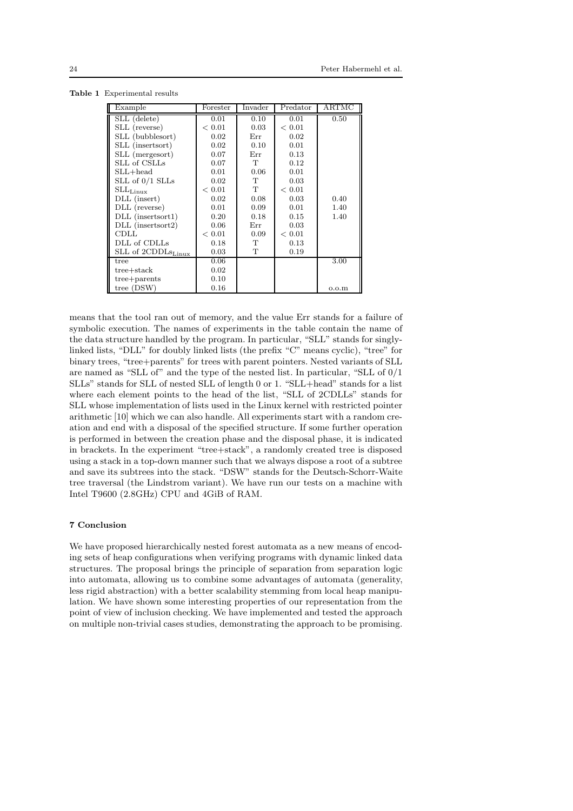| II<br>Example         | Forester   | Invader | Predator   | ARTMC |
|-----------------------|------------|---------|------------|-------|
| SLL (delete)          | 0.01       | 0.10    | 0.01       | 0.50  |
| SLL (reverse)         | ${}< 0.01$ | 0.03    | ${}< 0.01$ |       |
| SLL (bubblesort)      | 0.02       | Err     | 0.02       |       |
| SLL (insertsort)      | 0.02       | 0.10    | 0.01       |       |
| SLL (mergesort)       | 0.07       | Err     | 0.13       |       |
| SLL of CSLLs          | 0.07       | T       | 0.12       |       |
| $SLL + head$          | 0.01       | 0.06    | 0.01       |       |
| $SLL$ of $0/1$ $SLLs$ | 0.02       | T       | 0.03       |       |
| $SLL_{\text{Linux}}$  | ${}< 0.01$ | T       | < 0.01     |       |
| DLL (insert)          | 0.02       | 0.08    | 0.03       | 0.40  |
| DLL (reverse)         | 0.01       | 0.09    | 0.01       | 1.40  |
| DLL (insertsort1)     | 0.20       | 0.18    | 0.15       | 1.40  |
| DLL (insertsort2)     | 0.06       | Err     | 0.03       |       |
| <b>CDLL</b>           | ${}< 0.01$ | 0.09    | ${}< 0.01$ |       |
| DLL of CDLLs          | 0.18       | T       | 0.13       |       |
| SLL of 2CDDLsLinux    | 0.03       | Т       | 0.19       |       |
| tree                  | 0.06       |         |            | 3.00  |
| $tree + stack$        | 0.02       |         |            |       |
| $tree+parents$        | 0.10       |         |            |       |
| tree $(DSW)$          | 0.16       |         |            | 0.0.m |

Table 1 Experimental results

means that the tool ran out of memory, and the value Err stands for a failure of symbolic execution. The names of experiments in the table contain the name of the data structure handled by the program. In particular, "SLL" stands for singlylinked lists, "DLL" for doubly linked lists (the prefix "C" means cyclic), "tree" for binary trees, "tree+parents" for trees with parent pointers. Nested variants of SLL are named as "SLL of" and the type of the nested list. In particular, "SLL of 0/1 SLLs" stands for SLL of nested SLL of length 0 or 1. "SLL+head" stands for a list where each element points to the head of the list, "SLL of 2CDLLs" stands for SLL whose implementation of lists used in the Linux kernel with restricted pointer arithmetic [10] which we can also handle. All experiments start with a random creation and end with a disposal of the specified structure. If some further operation is performed in between the creation phase and the disposal phase, it is indicated in brackets. In the experiment "tree+stack", a randomly created tree is disposed using a stack in a top-down manner such that we always dispose a root of a subtree and save its subtrees into the stack. "DSW" stands for the Deutsch-Schorr-Waite tree traversal (the Lindstrom variant). We have run our tests on a machine with Intel T9600 (2.8GHz) CPU and 4GiB of RAM.

# 7 Conclusion

We have proposed hierarchically nested forest automata as a new means of encoding sets of heap configurations when verifying programs with dynamic linked data structures. The proposal brings the principle of separation from separation logic into automata, allowing us to combine some advantages of automata (generality, less rigid abstraction) with a better scalability stemming from local heap manipulation. We have shown some interesting properties of our representation from the point of view of inclusion checking. We have implemented and tested the approach on multiple non-trivial cases studies, demonstrating the approach to be promising.